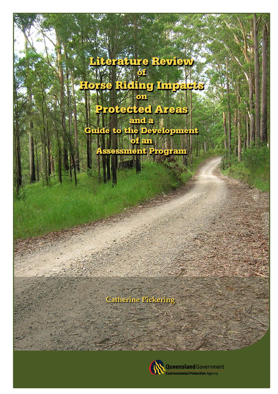# Review

# deling Impe on

# otected Areas

to the **Development Cuid** an sment Program

# Catherine Pickering

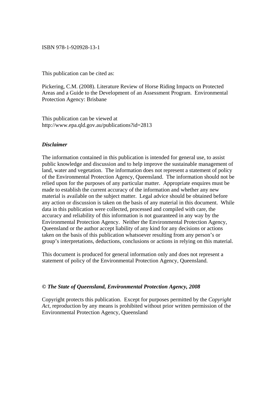ISBN 978-1-920928-13-1

This publication can be cited as:

Pickering, C.M. (2008). Literature Review of Horse Riding Impacts on Protected Areas and a Guide to the Development of an Assessment Program. Environmental Protection Agency: Brisbane

This publication can be viewed at http://www.epa.qld.gov.au/publications?id=2813

#### *Disclaimer*

The information contained in this publication is intended for general use, to assist public knowledge and discussion and to help improve the sustainable management of land, water and vegetation. The information does not represent a statement of policy of the Environmental Protection Agency, Queensland. The information should not be relied upon for the purposes of any particular matter. Appropriate enquires must be made to establish the current accuracy of the information and whether any new material is available on the subject matter. Legal advice should be obtained before any action or discussion is taken on the basis of any material in this document. While data in this publication were collected, processed and compiled with care, the accuracy and reliability of this information is not guaranteed in any way by the Environmental Protection Agency. Neither the Environmental Protection Agency, Queensland or the author accept liability of any kind for any decisions or actions taken on the basis of this publication whatsoever resulting from any person's or group's interpretations, deductions, conclusions or actions in relying on this material.

This document is produced for general information only and does not represent a statement of policy of the Environmental Protection Agency, Queensland.

#### *© The State of Queensland, Environmental Protection Agency, 2008*

Copyright protects this publication. Except for purposes permitted by the *Copyright Act*, reproduction by any means is prohibited without prior written permission of the Environmental Protection Agency, Queensland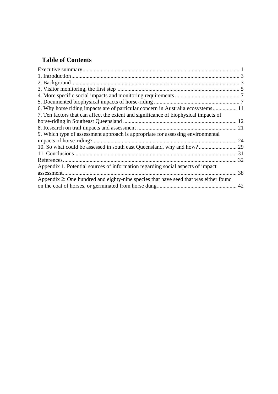# **Table of Contents**

| 6. Why horse riding impacts are of particular concern in Australia ecosystems 11     |    |
|--------------------------------------------------------------------------------------|----|
| 7. Ten factors that can affect the extent and significance of biophysical impacts of |    |
|                                                                                      |    |
|                                                                                      |    |
| 9. Which type of assessment approach is appropriate for assessing environmental      |    |
|                                                                                      | 24 |
| 10. So what could be assessed in south east Queensland, why and how? 29              |    |
|                                                                                      |    |
| References.                                                                          |    |
| Appendix 1. Potential sources of information regarding social aspects of impact      |    |
| assessment.                                                                          | 38 |
| Appendix 2: One hundred and eighty-nine species that have seed that was either found |    |
|                                                                                      | 42 |
|                                                                                      |    |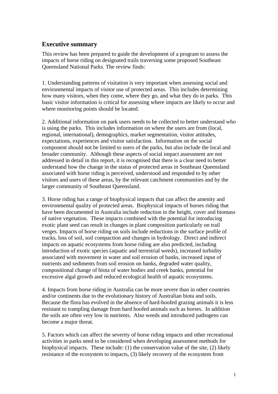### <span id="page-4-0"></span>**Executive summary**

This review has been prepared to guide the development of a program to assess the impacts of horse riding on designated trails traversing some proposed Southeast Queensland National Parks. The review finds:

1. Understanding patterns of visitation is very important when assessing social and environmental impacts of visitor use of protected areas. This includes determining how many visitors, when they come, where they go, and what they do in parks. This basic visitor information is critical for assessing where impacts are likely to occur and where monitoring points should be located.

2. Additional information on park users needs to be collected to better understand who is using the parks. This includes information on where the users are from (local, regional, international), demographics, market segmentation, visitor attitudes, expectations, experiences and visitor satisfaction. Information on the social component should not be limited to users of the parks, but also include the local and broader community. Although these aspects of social impact assessment are not addressed in detail in this report, it is recognised that there is a clear need to better understand how the change in the status of protected areas in Southeast Queensland associated with horse riding is perceived, understood and responded to by other visitors and users of these areas, by the relevant catchment communities and by the larger community of Southeast Queensland.

3. Horse riding has a range of biophysical impacts that can affect the amenity and environmental quality of protected areas. Biophysical impacts of horses riding that have been documented in Australia include reduction in the height, cover and biomass of native vegetation. These impacts combined with the potential for introducing exotic plant seed can result in changes in plant composition particularly on trail verges. Impacts of horse riding on soils include reductions in the surface profile of tracks, loss of soil, soil compaction and changes in hydrology. Direct and indirect impacts on aquatic ecosystems from horse riding are also predicted, including introduction of exotic species (aquatic and terrestrial weeds), increased turbidity associated with movement in water and soil erosion of banks, increased input of nutrients and sediments from soil erosion on banks, degraded water quality, compositional change of biota of water bodies and creek banks, potential for excessive algal growth and reduced ecological health of aquatic ecosystems.

4. Impacts from horse riding in Australia can be more severe than in other countries and/or continents due to the evolutionary history of Australian biota and soils. Because the flora has evolved in the absence of hard-hoofed grazing animals it is less resistant to trampling damage from hard hoofed animals such as horses. In addition the soils are often very low in nutrients. Also weeds and introduced pathogens can become a major threat.

5. Factors which can affect the severity of horse riding impacts and other recreational activities in parks need to be considered when developing assessment methods for biophysical impacts. These include: (1) the conservation value of the site, (2) likely resistance of the ecosystem to impacts, (3) likely recovery of the ecosystem from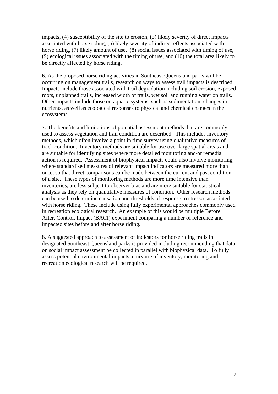impacts, (4) susceptibility of the site to erosion, (5) likely severity of direct impacts associated with horse riding, (6) likely severity of indirect effects associated with horse riding, (7) likely amount of use, (8) social issues associated with timing of use, (9) ecological issues associated with the timing of use, and (10) the total area likely to be directly affected by horse riding.

6. As the proposed horse riding activities in Southeast Queensland parks will be occurring on management trails, research on ways to assess trail impacts is described. Impacts include those associated with trail degradation including soil erosion, exposed roots, unplanned trails, increased width of trails, wet soil and running water on trails. Other impacts include those on aquatic systems, such as sedimentation, changes in nutrients, as well as ecological responses to physical and chemical changes in the ecosystems.

7. The benefits and limitations of potential assessment methods that are commonly used to assess vegetation and trail condition are described. This includes inventory methods, which often involve a point in time survey using qualitative measures of track condition. Inventory methods are suitable for use over large spatial areas and are suitable for identifying sites where more detailed monitoring and/or remedial action is required. Assessment of biophysical impacts could also involve monitoring, where standardised measures of relevant impact indicators are measured more than once, so that direct comparisons can be made between the current and past condition of a site. These types of monitoring methods are more time intensive than inventories, are less subject to observer bias and are more suitable for statistical analysis as they rely on quantitative measures of condition. Other research methods can be used to determine causation and thresholds of response to stresses associated with horse riding. These include using fully experimental approaches commonly used in recreation ecological research. An example of this would be multiple Before, After, Control, Impact (BACI) experiment comparing a number of reference and impacted sites before and after horse riding.

8. A suggested approach to assessment of indicators for horse riding trails in designated Southeast Queensland parks is provided including recommending that data on social impact assessment be collected in parallel with biophysical data. To fully assess potential environmental impacts a mixture of inventory, monitoring and recreation ecological research will be required.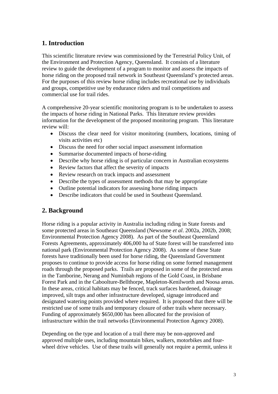# <span id="page-6-0"></span>**1. Introduction**

This scientific literature review was commissioned by the Terrestrial Policy Unit, of the Environment and Protection Agency, Queensland. It consists of a literature review to guide the development of a program to monitor and assess the impacts of horse riding on the proposed trail network in Southeast Queensland's protected areas. For the purposes of this review horse riding includes recreational use by individuals and groups, competitive use by endurance riders and trail competitions and commercial use for trail rides.

A comprehensive 20-year scientific monitoring program is to be undertaken to assess the impacts of horse riding in National Parks. This literature review provides information for the development of the proposed monitoring program. This literature review will:

- Discuss the clear need for visitor monitoring (numbers, locations, timing of visits activities etc)
- Discuss the need for other social impact assessment information
- Summarise documented impacts of horse-riding
- Describe why horse riding is of particular concern in Australian ecosystems
- Review factors that affect the severity of impacts
- Review research on track impacts and assessment
- Describe the types of assessment methods that may be appropriate
- Outline potential indicators for assessing horse riding impacts
- Describe indicators that could be used in Southeast Queensland.

# **2. Background**

Horse riding is a popular activity in Australia including riding in State forests and some protected areas in Southeast Queensland (Newsome *et al*. 2002a, 2002b, 2008; Environmental Protection Agency 2008). As part of the Southeast Queensland Forests Agreements, approximately 406,000 ha of State forest will be transferred into national park (Environmental Protection Agency 2008). As some of these State forests have traditionally been used for horse riding, the Queensland Government proposes to continue to provide access for horse riding on some formed management roads through the proposed parks. Trails are proposed in some of the protected areas in the Tamborine, Nerang and Numinbah regions of the Gold Coast, in Brisbane Forest Park and in the Caboolture-Bellthorpe, Mapleton-Kenilworth and Noosa areas. In these areas, critical habitats may be fenced, track surfaces hardened, drainage improved, silt traps and other infrastructure developed, signage introduced and designated watering points provided where required. It is proposed that there will be restricted use of some trails and temporary closure of other trails where necessary. Funding of approximately \$650,000 has been allocated for the provision of infrastructure within the trail networks (Environmental Protection Agency 2008).

Depending on the type and location of a trail there may be non-approved and approved multiple uses, including mountain bikes, walkers, motorbikes and fourwheel drive vehicles. Use of these trails will generally not require a permit, unless it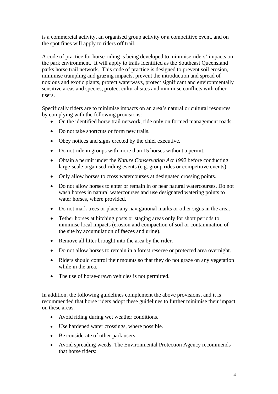is a commercial activity, an organised group activity or a competitive event, and on the spot fines will apply to riders off trail.

A code of practice for horse-riding is being developed to minimise riders' impacts on the park environment. It will apply to trails identified as the Southeast Queensland parks horse trail network. This code of practice is designed to prevent soil erosion, minimise trampling and grazing impacts, prevent the introduction and spread of noxious and exotic plants, protect waterways, protect significant and environmentally sensitive areas and species, protect cultural sites and minimise conflicts with other users.

Specifically riders are to minimise impacts on an area's natural or cultural resources by complying with the following provisions:

- On the identified horse trail network, ride only on formed management roads.
- Do not take shortcuts or form new trails.
- Obey notices and signs erected by the chief executive.
- Do not ride in groups with more than 15 horses without a permit.
- Obtain a permit under the *Nature Conservation Act 1992* before conducting large-scale organised riding events (e.g. group rides or competitive events).
- Only allow horses to cross watercourses at designated crossing points.
- Do not allow horses to enter or remain in or near natural watercourses. Do not wash horses in natural watercourses and use designated watering points to water horses, where provided.
- Do not mark trees or place any navigational marks or other signs in the area.
- Tether horses at hitching posts or staging areas only for short periods to minimise local impacts (erosion and compaction of soil or contamination of the site by accumulation of faeces and urine).
- Remove all litter brought into the area by the rider.
- Do not allow horses to remain in a forest reserve or protected area overnight.
- Riders should control their mounts so that they do not graze on any vegetation while in the area.
- The use of horse-drawn vehicles is not permitted.

In addition, the following guidelines complement the above provisions, and it is recommended that horse riders adopt these guidelines to further minimise their impact on these areas.

- Avoid riding during wet weather conditions.
- Use hardened water crossings, where possible.
- Be considerate of other park users.
- Avoid spreading weeds. The Environmental Protection Agency recommends that horse riders: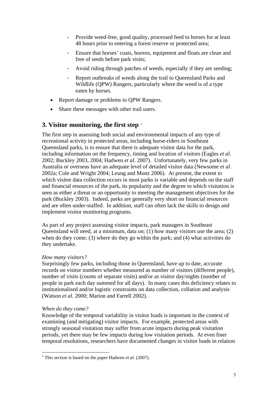- <span id="page-8-0"></span>Provide weed-free, good quality, processed feed to horses for at least 48 hours prior to entering a forest reserve or protected area;
- Ensure that horses' coats, hooves, equipment and floats are clean and free of seeds before park visits;
- Avoid riding through patches of weeds, especially if they are seeding;
- Report outbreaks of weeds along the trail to Queensland Parks and Wildlife (QPW) Rangers, particularly where the weed is of a type eaten by horses.
- Report damage or problems to OPW Rangers.
- Share these messages with other trail users.

# **3. Visitor monitoring, the first step** [1](#page-8-1)

The first step in assessing both social and environmental impacts of any type of recreational activity in protected areas, including horse-riders in Southeast Queensland parks, is to ensure that there is adequate visitor data for the park, including information on the frequency, timing and location of visitors (Eagles *et al*. 2002; Buckley 2003, 2004; Hadwen *et al*. 2007). Unfortunately, very few parks in Australia or overseas have an adequate level of detailed visitor data (Newsome *et al*. 2002a; Cole and Wright 2004; Leung and Monz 2006). At present, the extent to which visitor data collection occurs in most parks is variable and depends on the staff and financial resources of the park, its popularity and the degree to which visitation is seen as either a threat or an opportunity to meeting the management objectives for the park (Buckley 2003). Indeed, parks are generally very short on financial resources and are often under-staffed. In addition, staff can often lack the skills to design and implement visitor monitoring programs.

As part of any project assessing visitor impacts, park managers in Southeast Queensland will need, at a minimum, data on: (1) how many visitors use the area; (2) when do they come; (3) where do they go within the park; and (4) what activities do they undertake.

#### *How many visitors?*

Surprisingly few parks, including those in Queensland, have up to date, accurate records on visitor numbers whether measured as number of visitors (different people), number of visits (counts of separate visits) and/or as visitor day/nights (number of people in park each day summed for all days). In many cases this deficiency relates to institutionalised and/or logistic constraints on data collection, collation and analysis (Watson *et al.* 2000; Marion and Farrell 2002).

#### *When do they come?*

Knowledge of the temporal variability in visitor loads is important in the context of examining (and mitigating) visitor impacts. For example, protected areas with strongly seasonal visitation may suffer from acute impacts during peak visitation periods, yet there may be few impacts during low visitation periods. At even finer temporal resolutions, researchers have documented changes in visitor loads in relation

<span id="page-8-1"></span> 1 This section is based on the paper Hadwen *et al*. (2007).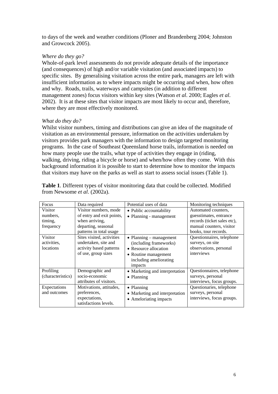to days of the week and weather conditions (Ploner and Brandenberg 2004; Johnston and Growcock 2005).

#### *Where do they go?*

Whole-of-park level assessments do not provide adequate details of the importance (and consequences) of high and/or variable visitation (and associated impacts) to specific sites. By generalising visitation across the entire park, managers are left with insufficient information as to where impacts might be occurring and when, how often and why. Roads, trails, waterways and campsites (in addition to different management zones) focus visitors within key sites (Watson *et al*. 2000; Eagles *et al*. 2002). It is at these sites that visitor impacts are most likely to occur and, therefore, where they are most effectively monitored.

#### *What do they do?*

Whilst visitor numbers, timing and distributions can give an idea of the magnitude of visitation as an environmental pressure, information on the activities undertaken by visitors provides park managers with the information to design targeted monitoring programs. In the case of Southeast Queensland horse trails, information is needed on how many people use the trails, what type of activities they engage in (riding, walking, driving, riding a bicycle or horse) and when/how often they come. With this background information it is possible to start to determine how to monitor the impacts that visitors may have on the parks as well as start to assess social issues (Table 1).

**Table 1**. Different types of visitor monitoring data that could be collected. Modified from Newsome *et al*. (2002a).

| Focus                                       | Data required                                                                                                          | Potential uses of data                                                                                                                  | Monitoring techniques                                                                                                            |
|---------------------------------------------|------------------------------------------------------------------------------------------------------------------------|-----------------------------------------------------------------------------------------------------------------------------------------|----------------------------------------------------------------------------------------------------------------------------------|
| Visitor<br>numbers.<br>timing,<br>frequency | Visitor numbers, mode<br>of entry and exit points,<br>when arriving,<br>departing, seasonal<br>patterns in total usage | • Public accountability<br>• Planning - management                                                                                      | Automated counters.<br>guesstimates, entrance<br>records (ticket sales etc),<br>manual counters, visitor<br>books, tour records. |
| Visitor<br>activities.<br>locations         | Sites visited, activities<br>undertaken, site and<br>activity based patterns<br>of use, group sizes                    | • Planning – management<br>(including frameworks)<br>• Resource allocation<br>• Routine management<br>including ameliorating<br>impacts | Questionnaires, telephone<br>surveys, on site<br>observations, personal<br>interviews                                            |
| Profiling<br>(characteristics)              | Demographic and<br>socio-economic<br>attributes of visitors.                                                           | • Marketing and interpretation<br>• Planning                                                                                            | Questionnaires, telephone<br>surveys, personal<br>interviews, focus groups.                                                      |
| Expectations<br>and outcomes                | Motivations, attitudes,<br>preferences,<br>expectations,<br>satisfactions levels.                                      | • Planning<br>• Marketing and interpretation<br>• Ameloriating impacts                                                                  | Questionaries, telephone<br>surveys, personal<br>interviews, focus groups.                                                       |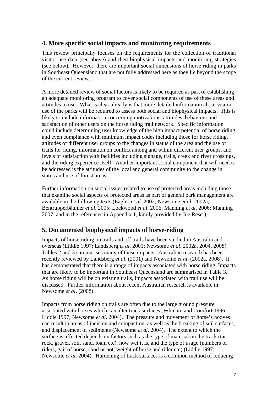# <span id="page-10-0"></span>**4. More specific social impacts and monitoring requirements**

This review principally focuses on the requirements for the collection of traditional visitor use data (see above) and then biophysical impacts and monitoring strategies (see below). However, there are important social dimensions of horse riding in parks in Southeast Queensland that are not fully addressed here as they lie beyond the scope of the current review.

A more detailed review of social factors is likely to be required as part of establishing an adequate monitoring program to cover social components of use of these areas and attitudes to use. What is clear already is that more detailed information about visitor use of the parks will be required to assess both social and biophysical impacts. This is likely to include information concerning motivations, attitudes, behaviour and satisfaction of other users on the horse riding trail network. Specific information could include determining user knowledge of the high impact potential of horse riding and even compliance with minimum impact codes including those for horse riding, attitudes of different user groups to the changes in status of the area and the use of trails for riding, information on conflict among and within different user groups, and levels of satisfaction with facilities including signage, trails, creek and river crossings, and the riding experience itself. Another important social component that will need to be addressed is the attitudes of the local and general community to the change in status and use of forest areas.

Further information on social issues related to use of protected areas including those that examine social aspects of protected areas as part of general park management are available in the following texts (Eagles *et al*. 2002; Newsome *et al*. 2002a; Bentrupperbäumer *et al*. 2005; Lockwood *et al*. 2006; Manning *et al*. 2006; Manning 2007, and in the references in Appendix 1, kindly provided by Joe Reser).

# **5. Documented biophysical impacts of horse-riding**

Impacts of horse riding on trails and off trails have been studied in Australia and overseas (Liddle 1997; Landsberg *et al*. 2001; Newsome *et al*. 2002a, 2004, 2008) Tables 2 and 3 summarises many of these impacts. Australian research has been recently reviewed by Landsberg *et al*. (2001) and Newsome *et al*. (2002a, 2008). It has demonstrated that there is a range of impacts associated with horse riding. Impacts that are likely to be important in Southeast Queensland are summarised in Table 3. As horse riding will be on existing trails, impacts associated with trail use will be discussed. Further information about recent Australian research is available in Newsome *et al*. (2008).

Impacts from horse riding on trails are often due to the large ground pressure associated with horses which can alter track surfaces (Whinam and Comfort 1996; Liddle 1997; Newsome *et al*. 2004). The pressure and movement of horse's hooves can result in areas of incision and compaction, as well as the breaking of soil surfaces, and displacement of sediments (Newsome *et al*. 2004). The extent to which the surface is affected depends on factors such as the type of material on the track (tar, rock, gravel, soil, sand, loam etc), how wet it is, and the type of usage (numbers of riders, gait of horse, shod or not, weight of horse and rider etc) (Liddle 1997; Newsome *et al*. 2004). Hardening of track surfaces is a common method of reducing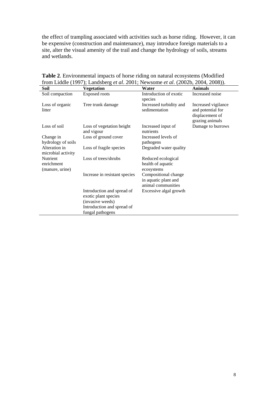the effect of trampling associated with activities such as horse riding. However, it can be expensive (construction and maintenance), may introduce foreign materials to a site, alter the visual amenity of the trail and change the hydrology of soils, streams and wetlands.

| Soil                                      | <b>Vegetation</b>                       | Water                                                              | <b>Animals</b>                                                                 |
|-------------------------------------------|-----------------------------------------|--------------------------------------------------------------------|--------------------------------------------------------------------------------|
| Soil compaction                           | <b>Exposed roots</b>                    | Introduction of exotic<br>species                                  | Increased noise                                                                |
| Loss of organic<br>litter                 | Tree trunk damage                       | Increased turbidity and<br>sedimentation                           | Increased vigilance<br>and potential for<br>displacement of<br>grazing animals |
| Loss of soil                              | Loss of vegetation height<br>and vigour | Increased input of<br>nutrients                                    | Damage to burrows                                                              |
| Change in<br>hydrology of soils           | Loss of ground cover                    | Increased levels of<br>pathogens                                   |                                                                                |
| Alteration in<br>microbial activity       | Loss of fragile species                 | Degraded water quality                                             |                                                                                |
| Nutrient<br>enrichment<br>(manure, urine) | Loss of trees/shrubs                    | Reduced ecological<br>health of aquatic<br>ecosystems              |                                                                                |
|                                           | Increase in resistant species           | Compositional change<br>in aquatic plant and<br>animal communities |                                                                                |
|                                           | Introduction and spread of              | Excessive algal growth                                             |                                                                                |
|                                           | exotic plant species                    |                                                                    |                                                                                |
|                                           | (invasive weeds)                        |                                                                    |                                                                                |
|                                           | Introduction and spread of              |                                                                    |                                                                                |
|                                           | fungal pathogens                        |                                                                    |                                                                                |

**Table 2**. Environmental impacts of horse riding on natural ecosystems (Modified from Liddle (1997); Landsberg *et al*. 2001; Newsome *et al*. (2002b, 2004, 2008)).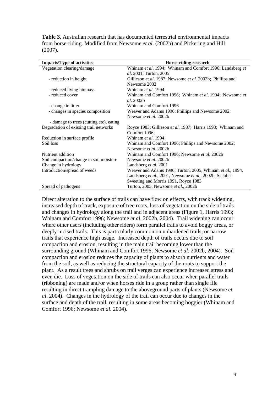**Table 3**. Australian research that has documented terrestrial environmental impacts from horse-riding. Modified from Newsome *et al*. (2002b) and Pickering and Hill (2007).

| <b>Impacts</b> \Type of activities      | Horse-riding research                                      |
|-----------------------------------------|------------------------------------------------------------|
| Vegetation clearing/damage              | Whinam et al. 1994; Whinam and Comfort 1996; Landsberg et  |
|                                         | <i>al.</i> 2001; Turton, 2005                              |
| - reduction in height                   | Gillieson et al. 1987; Newsome et al. 2002b; Phillips and  |
|                                         | Newsome 2002                                               |
| - reduced living biomass                | Whinam et al. 1994                                         |
| - reduced cover                         | Whinam and Comfort 1996; Whinam et al. 1994; Newsome et    |
|                                         | al. 2002b                                                  |
| - change in litter                      | Whinam and Comfort 1996                                    |
| - changes in species composition        | Weaver and Adams 1996; Phillips and Newsome 2002;          |
|                                         | Newsome <i>et al.</i> 2002b                                |
| - damage to trees (cutting etc), eating |                                                            |
| Degradation of existing trail networks  | Royce 1983; Gillieson et al. 1987; Harris 1993; Whinam and |
|                                         | Comfort 1996;                                              |
| Reduction in surface profile            | Whinam et al. 1994                                         |
| Soil loss                               | Whinam and Comfort 1996; Phillips and Newsome 2002;        |
|                                         | Newsome <i>et al.</i> 2002b                                |
| Nutrient addition                       | Whinam and Comfort 1996; Newsome et al. 2002b              |
| Soil compaction/change in soil moisture | Newsome <i>et al.</i> 2002b                                |
| Change in hydrology                     | Landsberg et al. 2001                                      |
| Introduction/spread of weeds            | Weaver and Adams 1996; Turton, 2005, Whinam et al., 1994,  |
|                                         | Landsberg et al., 2001, Newsome et al., 2002b, St John-    |
|                                         | Sweeting and Morris 1991, Royce 1983                       |
| Spread of pathogens                     | Turton, 2005, Newsome et al., 2002b                        |

Direct alteration to the surface of trails can have flow on effects, with track widening, increased depth of track, exposure of tree roots, loss of vegetation on the side of trails and changes in hydrology along the trail and in adjacent areas (Figure 1, Harris 1993; Whinam and Comfort 1996; Newsome *et al*. 2002b, 2004). Trail widening can occur where other users (including other riders) form parallel trails to avoid boggy areas, or deeply incised trails. This is particularly common on unhardened trails, or narrow trails that experience high usage. Increased depth of trails occurs due to soil compaction and erosion, resulting in the main trail becoming lower than the surrounding ground (Whinam and Comfort 1996; Newsome *et al*. 2002b, 2004). Soil compaction and erosion reduces the capacity of plants to absorb nutrients and water from the soil, as well as reducing the structural capacity of the roots to support the plant. As a result trees and shrubs on trail verges can experience increased stress and even die. Loss of vegetation on the side of trails can also occur when parallel trails (ribboning) are made and/or when horses ride in a group rather than single file resulting in direct trampling damage to the aboveground parts of plants (Newsome *et al*. 2004). Changes in the hydrology of the trail can occur due to changes in the surface and depth of the trail, resulting in some areas becoming boggier (Whinam and Comfort 1996; Newsome *et al*. 2004).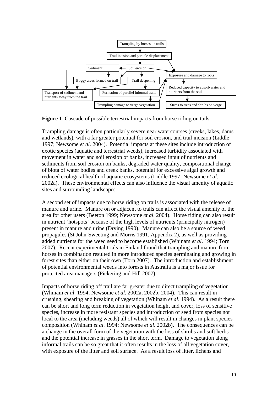

**Figure 1**. Cascade of possible terrestrial impacts from horse riding on tails.

Trampling damage is often particularly severe near watercourses (creeks, lakes, dams and wetlands), with a far greater potential for soil erosion, and trail incision (Liddle 1997; Newsome *et al*. 2004). Potential impacts at these sites include introduction of exotic species (aquatic and terrestrial weeds), increased turbidity associated with movement in water and soil erosion of banks, increased input of nutrients and sediments from soil erosion on banks, degraded water quality, compositional change of biota of water bodies and creek banks, potential for excessive algal growth and reduced ecological health of aquatic ecosystems (Liddle 1997; Newsome *et al*. 2002a). These environmental effects can also influence the visual amenity of aquatic sites and surrounding landscapes.

A second set of impacts due to horse riding on trails is associated with the release of manure and urine. Manure on or adjacent to trails can affect the visual amenity of the area for other users (Beeton 1999; Newsome *et al*. 2004). Horse riding can also result in nutrient 'hotspots' because of the high levels of nutrients (principally nitrogen) present in manure and urine (Drying 1990). Manure can also be a source of weed propagules (St John-Sweeting and Morris 1991, Appendix 2), as well as providing added nutrients for the weed seed to become established (Whinam *et al*. 1994; Torn 2007). Recent experimental trials in Finland found that trampling and manure from horses in combination resulted in more introduced species germinating and growing in forest sites than either on their own (Torn 2007). The introduction and establishment of potential environmental weeds into forests in Australia is a major issue for protected area managers (Pickering and Hill 2007).

Impacts of horse riding off trail are far greater due to direct trampling of vegetation (Whinam *et al*. 1994; Newsome *et al*. 2002a, 2002b, 2004). This can result in crushing, shearing and breaking of vegetation (Whinam *et al*. 1994). As a result there can be short and long term reduction in vegetation height and cover, loss of sensitive species, increase in more resistant species and introduction of seed from species not local to the area (including weeds) all of which will result in changes in plant species composition (Whinam *et al*. 1994; Newsome *et al*. 2002b). The consequences can be a change in the overall form of the vegetation with the loss of shrubs and soft herbs and the potential increase in grasses in the short term. Damage to vegetation along informal trails can be so great that it often results in the loss of all vegetation cover, with exposure of the litter and soil surface. As a result loss of litter, lichens and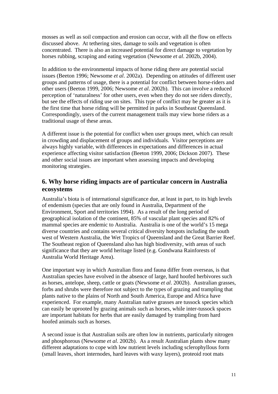<span id="page-14-0"></span>mosses as well as soil compaction and erosion can occur, with all the flow on effects discussed above. At tethering sites, damage to soils and vegetation is often concentrated. There is also an increased potential for direct damage to vegetation by horses rubbing, scraping and eating vegetation (Newsome *et al*. 2002b, 2004).

In addition to the environmental impacts of horse riding there are potential social issues (Beeton 1996; Newsome *et al*. 2002a). Depending on attitudes of different user groups and patterns of usage, there is a potential for conflict between horse-riders and other users (Beeton 1999, 2006; Newsome *et al*. 2002b). This can involve a reduced perception of 'naturalness' for other users, even when they do not see riders directly, but see the effects of riding use on sites. This type of conflict may be greater as it is the first time that horse riding will be permitted in parks in Southeast Queensland. Correspondingly, users of the current management trails may view horse riders as a traditional usage of these areas.

A different issue is the potential for conflict when user groups meet, which can result in crowding and displacement of groups and individuals. Visitor perceptions are always highly variable, with differences in expectations and differences in actual experience affecting visitor satisfaction (Beeton 1999, 2006; Dickson 2007). These and other social issues are important when assessing impacts and developing monitoring strategies.

# **6. Why horse riding impacts are of particular concern in Australia ecosystems**

Australia's biota is of international significance due, at least in part, to its high levels of endemism (species that are only found in Australia, Department of the Environment, Sport and territories 1994). As a result of the long period of geographical isolation of the continent, 85% of vascular plant species and 82% of mammal species are endemic to Australia. Australia is one of the world's 15 mega diverse countries and contains several critical diversity hotspots including the south west of Western Australia, the Wet Tropics of Queensland and the Great Barrier Reef. The Southeast region of Queensland also has high biodiversity, with areas of such significance that they are world heritage listed (e.g. Gondwana Rainforests of Australia World Heritage Area).

One important way in which Australian flora and fauna differ from overseas, is that Australian species have evolved in the absence of large, hard hoofed herbivores such as horses, antelope, sheep, cattle or goats (Newsome *et al*. 2002b). Australian grasses, forbs and shrubs were therefore not subject to the types of grazing and trampling that plants native to the plains of North and South America, Europe and Africa have experienced. For example, many Australian native grasses are tussock species which can easily be uprooted by grazing animals such as horses, while inter-tussock spaces are important habitats for herbs that are easily damaged by trampling from hard hoofed animals such as horses.

A second issue is that Australian soils are often low in nutrients, particularly nitrogen and phosphorous (Newsome *et al*. 2002b). As a result Australian plants show many different adaptations to cope with low nutrient levels including sclerophyllous form (small leaves, short internodes, hard leaves with waxy layers), proteoid root mats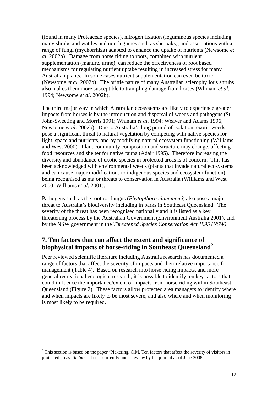<span id="page-15-0"></span>(found in many Proteaceae species), nitrogen fixation (leguminous species including many shrubs and wattles and non-legumes such as she-oaks), and associations with a range of fungi (mychorrhiza) adapted to enhance the uptake of nutrients (Newsome *et al*. 2002b). Damage from horse riding to roots, combined with nutrient supplementation (manure, urine), can reduce the effectiveness of root based mechanisms for regulating nutrient uptake resulting in increased stress for many Australian plants. In some cases nutrient supplementation can even be toxic (Newsome *et al*. 2002b). The brittle nature of many Australian sclerophyllous shrubs also makes them more susceptible to trampling damage from horses (Whinam *et al*. 1994; Newsome *et al*. 2002b).

The third major way in which Australian ecosystems are likely to experience greater impacts from horses is by the introduction and dispersal of weeds and pathogens (St John-Sweeting and Morris 1991; Whinam *et al*. 1994; Weaver and Adams 1996; Newsome *et al*. 2002b). Due to Australia's long period of isolation, exotic weeds pose a significant threat to natural vegetation by competing with native species for light, space and nutrients, and by modifying natural ecosystem functioning (Williams and West 2000). Plant community composition and structure may change, affecting food resources and shelter for native fauna (Adair 1995). Therefore increasing the diversity and abundance of exotic species in protected areas is of concern. This has been acknowledged with environmental weeds (plants that invade natural ecosystems and can cause major modifications to indigenous species and ecosystem function) being recognised as major threats to conservation in Australia (Williams and West 2000; Williams *et al*. 2001).

Pathogens such as the root rot fungus (*Phytopthora cinnamomi*) also pose a major threat to Australia's biodiversity including in parks in Southeast Queensland. The severity of the threat has been recognised nationally and it is listed as a key threatening process by the Australian Government (Environment Australia 2001), and by the NSW government in the *Threatened Species Conservation Act 1995 (NSW)*.

# **7. Ten factors that can affect the extent and significance of biophysical impacts of horse-riding in Southeast Queensland[2](#page-15-0)**

Peer reviewed scientific literature including Australia research has documented a range of factors that affect the severity of impacts and their relative importance for management (Table 4). Based on research into horse riding impacts, and more general recreational ecological research, it is possible to identify ten key factors that could influence the importance/extent of impacts from horse riding within Southeast Queensland (Figure 2). These factors allow protected area managers to identify where and when impacts are likely to be most severe, and also where and when monitoring is most likely to be required.

 $\overline{a}$ 

 $2$  This section is based on the paper 'Pickering, C.M. Ten factors that affect the severity of visitors in protected areas. *Ambio.'* That is currently under review by the journal as of June 2008.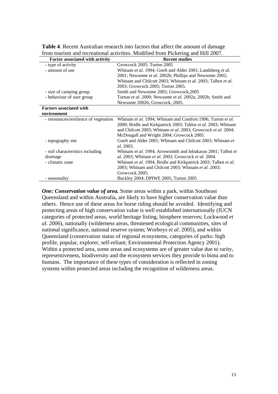| <b>Factor associated with activity</b> | $\alpha$ recreational activities. Thoughter from Frenching and Finit 2007<br><b>Recent studies</b> |
|----------------------------------------|----------------------------------------------------------------------------------------------------|
| - type of activity                     | Growcock 2005; Turton 2005                                                                         |
| - amount of use                        | Whinam et al. 1994; Goeft and Alder 2001; Landsberg et al.                                         |
|                                        | 2001; Newsome et al. 2002b; Phillips and Newsome 2002;                                             |
|                                        | Whinam and Chilcott 2003; Whinam et al. 2003; Talbot et al.                                        |
|                                        | 2003; Growcock 2005; Turton 2005.                                                                  |
| - size of camping group                | Smith and Newsome 2002; Growcock, 2005                                                             |
| - behaviour of user group              | Turton et al. 2000; Newsome et al. 2002a, 2002b; Smith and                                         |
|                                        | Newsome 2002b; Growcock, 2005.                                                                     |
| <b>Factors associated with</b>         |                                                                                                    |
| environment                            |                                                                                                    |
| - resistances/resilience of vegetation | Whinam et al. 1994; Whinam and Comfort 1996; Turton et al.                                         |
|                                        | 2000; Bridle and Kirkpatrick 2003; Tablot et al. 2003; Whinam                                      |
|                                        | and Chilcott 2003; Whinam et al. 2003; Growcock et al. 2004;                                       |
|                                        | McDougall and Wright 2004; Growcock 2005.                                                          |
| - topography site                      | Goeft and Alder 2001; Whinam and Chilcott 2003; Whinam et                                          |
|                                        | <i>al.</i> 2003.                                                                                   |
| - soil characteristics including       | Whinam et al. 1994; Arrowsmith and Inbakaran 2001; Talbot et                                       |
| drainage                               | <i>al.</i> 2003; Whinam <i>et al.</i> 2003; Growcock <i>et al.</i> 2004.                           |
| - climatic zone                        | Whinam et al. 1994; Bridle and Kirkpatrick 2003; Talbot et al.                                     |
|                                        | 2003; Whinam and Chilcott 2003; Whinam et al. 2003;                                                |
|                                        | Growcock 2005;                                                                                     |
| - seasonality                          | Buckley 2004; DPIWE 2005; Turton 2005                                                              |

**Table 4**. Recent Australian research into factors that affect the amount of damage from tourism and recreational activities. Modified from Pickering and Hill 2007.

*One: Conservation value of area.* Some areas within a park, within Southeast Queensland and within Australia, are likely to have higher conservation value than others. Hence use of these areas for horse riding should be avoided. Identifying and protecting areas of high conservation value is well established internationally (IUCN categories of protected areas, world heritage listing, biosphere reserves; Lockwood *et al*. 2006), nationally (wilderness areas, threatened ecological communities, sites of national significance, national reserve system; Worboys *et al*. 2005), and within Queensland (conservation status of regional ecosystems, categories of parks: high profile, popular, explorer, self-reliant; Environmental Protection Agency 2001). Within a protected area, some areas and ecosystems are of greater value due to rarity. representiveness, biodiversity and the ecosystem services they provide to biota and to humans. The importance of these types of consideration is reflected in zoning systems within protected areas including the recognition of wilderness areas.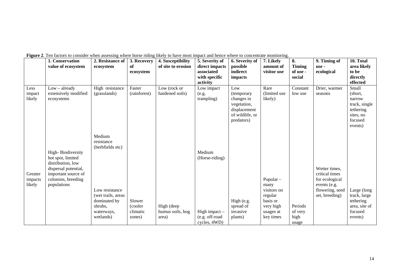|                              | 1. Conservation                                                                   | 2. Resistance of                                                                           | 3. Recovery                             | 4. Susceptibility                       | 5. Severity of                                    | 6. Severity of                                                 | 7. Likely                                                                                     | 8.                                  | 9. Timing of                                                                                           | 10. Total                                                                       |
|------------------------------|-----------------------------------------------------------------------------------|--------------------------------------------------------------------------------------------|-----------------------------------------|-----------------------------------------|---------------------------------------------------|----------------------------------------------------------------|-----------------------------------------------------------------------------------------------|-------------------------------------|--------------------------------------------------------------------------------------------------------|---------------------------------------------------------------------------------|
|                              | value of ecosystem                                                                | ecosystem                                                                                  | of                                      | of site to erosion                      | direct impacts                                    | possible                                                       | amount of                                                                                     | <b>Timing</b>                       | use -                                                                                                  | area likely                                                                     |
|                              |                                                                                   |                                                                                            | ecosystem                               |                                         | associated<br>with specific                       | indirect<br>impacts                                            | visitor use                                                                                   | of use -<br>social                  | ecological                                                                                             | to be<br>directly                                                               |
|                              |                                                                                   |                                                                                            |                                         |                                         | activity                                          |                                                                |                                                                                               |                                     |                                                                                                        | effected                                                                        |
| Less<br>impact<br>likely     | $Low - already$<br>extensively modified<br>ecosystems                             | High resistance<br>(grasslands)                                                            | Faster<br>(rainforest)                  | Low (rock or<br>hardened soils)         | Low impact<br>(e.g.<br>trampling)                 | Low<br>(temporary<br>changes in<br>vegetation,<br>displacement | Rare<br>(limited use<br>likely)                                                               | Constant<br>low use                 | Drier, warmer<br>seasons                                                                               | Small<br>(short,<br>narrow<br>track, single<br>tethering                        |
|                              |                                                                                   |                                                                                            |                                         |                                         |                                                   | of wildlife, or<br>predators)                                  |                                                                                               |                                     |                                                                                                        | sites, no<br>focused<br>events)                                                 |
|                              | High-Biodiversity<br>hot spot, limited<br>distribution, low                       | Medium<br>resistance<br>(herbfields etc)                                                   |                                         |                                         | Medium<br>(Horse-riding)                          |                                                                |                                                                                               |                                     |                                                                                                        |                                                                                 |
| Greater<br>impacts<br>likely | dispersal potential,<br>important source of<br>colonists, breeding<br>populations | Low resistance<br>(wet trails, areas<br>dominated by<br>shrubs,<br>waterways,<br>wetlands) | Slower<br>(cooler<br>climatic<br>zones) | High (deep<br>humus soils, bog<br>area) | High impact $-$<br>(e.g. off-road<br>cycles, 4WD) | High (e.g.<br>spread of<br>invasive<br>plants)                 | Popular-<br>many<br>visitors on<br>regular<br>basis or<br>very high<br>usages at<br>key times | Periods<br>of very<br>high<br>usage | Wetter times,<br>critical times<br>for ecological<br>events (e.g.<br>flowering, seed<br>set, breeding) | Large (long<br>track, large<br>tethering<br>area, site of<br>focused<br>events) |

#### Figure 2. Ten factors to consider when assessing where horse riding likely to have most impact and hence where to concentrate monitoring.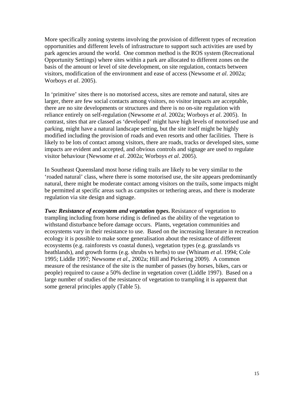More specifically zoning systems involving the provision of different types of recreation opportunities and different levels of infrastructure to support such activities are used by park agencies around the world. One common method is the ROS system (Recreational Opportunity Settings) where sites within a park are allocated to different zones on the basis of the amount or level of site development, on site regulation, contacts between visitors, modification of the environment and ease of access (Newsome *et al*. 2002a; Worboys *et al*. 2005).

In 'primitive' sites there is no motorised access, sites are remote and natural, sites are larger, there are few social contacts among visitors, no visitor impacts are acceptable, there are no site developments or structures and there is no on-site regulation with reliance entirely on self-regulation (Newsome *et al*. 2002a; Worboys *et al*. 2005). In contrast, sites that are classed as 'developed' might have high levels of motorised use and parking, might have a natural landscape setting, but the site itself might be highly modified including the provision of roads and even resorts and other facilities. There is likely to be lots of contact among visitors, there are roads, tracks or developed sites, some impacts are evident and accepted, and obvious controls and signage are used to regulate visitor behaviour (Newsome *et al*. 2002a; Worboys *et al*. 2005).

In Southeast Queensland most horse riding trails are likely to be very similar to the 'roaded natural' class, where there is some motorised use, the site appears predominantly natural, there might be moderate contact among visitors on the trails, some impacts might be permitted at specific areas such as campsites or tethering areas, and there is moderate regulation via site design and signage.

*Two: Resistance of ecosystem and vegetation types***.** Resistance of vegetation to trampling including from horse riding is defined as the ability of the vegetation to withstand disturbance before damage occurs. Plants, vegetation communities and ecosystems vary in their resistance to use. Based on the increasing literature in recreation ecology it is possible to make some generalisation about the resistance of different ecosystems (e.g. rainforests vs coastal dunes), vegetation types (e.g. grasslands vs heathlands), and growth forms (e.g. shrubs vs herbs) to use (Whinam *et al*. 1994; Cole 1995; Liddle 1997; Newsome *et al*., 2002a; Hill and Pickering 2009). A common measure of the resistance of the site is the number of passes (by horses, bikes, cars or people) required to cause a 50% decline in vegetation cover (Liddle 1997). Based on a large number of studies of the resistance of vegetation to trampling it is apparent that some general principles apply (Table 5).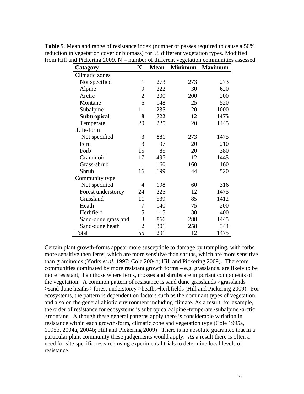| Catagory            | N              | <b>Mean</b> | <b>Minimum</b> | <b>Maximum</b> |
|---------------------|----------------|-------------|----------------|----------------|
| Climatic zones      |                |             |                |                |
| Not specified       | $\mathbf{1}$   | 273         | 273            | 273            |
| Alpine              | 9              | 222         | 30             | 620            |
| Arctic              | $\overline{2}$ | 200         | 200            | 200            |
| Montane             | 6              | 148         | 25             | 520            |
| Subalpine           | 11             | 235         | 20             | 1000           |
| <b>Subtropical</b>  | 8              | 722         | 12             | 1475           |
| Temperate           | 20             | 225         | 20             | 1445           |
| Life-form           |                |             |                |                |
| Not specified       | 3              | 881         | 273            | 1475           |
| Fern                | 3              | 97          | 20             | 210            |
| Forb                | 15             | 85          | 20             | 380            |
| Graminoid           | 17             | 497         | 12             | 1445           |
| Grass-shrub         | $\mathbf{1}$   | 160         | 160            | 160            |
| Shrub               | 16             | 199         | 44             | 520            |
| Community type      |                |             |                |                |
| Not specified       | 4              | 198         | 60             | 316            |
| Forest understorey  | 24             | 225         | 12             | 1475           |
| Grassland           | 11             | 539         | 85             | 1412           |
| Heath               | 7              | 140         | 75             | 200            |
| Herbfield           | 5              | 115         | 30             | 400            |
| Sand-dune grassland | 3              | 866         | 288            | 1445           |
| Sand-dune heath     | $\overline{2}$ | 301         | 258            | 344            |
| Total               | 55             | 291         | 12             | 1475           |

**Table 5**. Mean and range of resistance index (number of passes required to cause a 50% reduction in vegetation cover or biomass) for 55 different vegetation types. Modified from Hill and Pickering 2009.  $N =$  number of different vegetation communities assessed.

Certain plant growth-forms appear more susceptible to damage by trampling, with forbs more sensitive then ferns, which are more sensitive than shrubs, which are more sensitive than graminoids (Yorks *et al*. 1997; Cole 2004a; Hill and Pickering 2009). Therefore communities dominated by more resistant growth forms – e.g. grasslands, are likely to be more resistant, than those where ferns, mosses and shrubs are important components of the vegetation. A common pattern of resistance is sand dune grasslands >grasslands >sand dune heaths >forest understorey >heaths~herbfields (Hill and Pickering 2009). For ecosystems, the pattern is dependent on factors such as the dominant types of vegetation, and also on the general abiotic environment including climate. As a result, for example, the order of resistance for ecosystems is subtropical>alpine~temperate~subalpine~arctic >montane. Although these general patterns apply there is considerable variation in resistance within each growth-form, climatic zone and vegetation type (Cole 1995a, 1995b, 2004a, 2004b; Hill and Pickering 2009). There is no absolute guarantee that in a particular plant community these judgements would apply. As a result there is often a need for site specific research using experimental trials to determine local levels of resistance.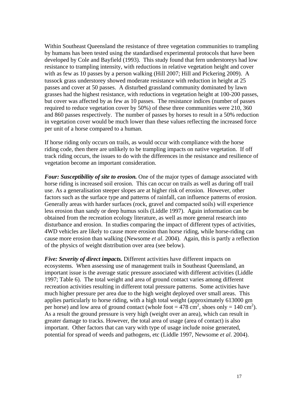Within Southeast Queensland the resistance of three vegetation communities to trampling by humans has been tested using the standardised experimental protocols that have been developed by Cole and Bayfield (1993). This study found that fern understoreys had low resistance to trampling intensity, with reductions in relative vegetation height and cover with as few as 10 passes by a person walking (Hill 2007; Hill and Pickering 2009). A tussock grass understorey showed moderate resistance with reduction in height at 25 passes and cover at 50 passes. A disturbed grassland community dominated by lawn grasses had the highest resistance, with reductions in vegetation height at 100-200 passes, but cover was affected by as few as 10 passes. The resistance indices (number of passes required to reduce vegetation cover by 50%) of these three communities were 210, 360 and 860 passes respectively. The number of passes by horses to result in a 50% reduction in vegetation cover would be much lower than these values reflecting the increased force per unit of a horse compared to a human.

If horse riding only occurs on trails, as would occur with compliance with the horse riding code, then there are unlikely to be trampling impacts on native vegetation. If off track riding occurs, the issues to do with the differences in the resistance and resilience of vegetation become an important consideration.

*Four: Susceptibility of site to erosion.* One of the major types of damage associated with horse riding is increased soil erosion. This can occur on trails as well as during off trail use. As a generalisation steeper slopes are at higher risk of erosion. However, other factors such as the surface type and patterns of rainfall, can influence patterns of erosion. Generally areas with harder surfaces (rock, gravel and compacted soils) will experience less erosion than sandy or deep humus soils (Liddle 1997). Again information can be obtained from the recreation ecology literature, as well as more general research into disturbance and erosion. In studies comparing the impact of different types of activities, 4WD vehicles are likely to cause more erosion than horse riding, while horse-riding can cause more erosion than walking (Newsome *et al*. 2004). Again, this is partly a reflection of the physics of weight distribution over area (see below).

*Five: Severity of direct impacts.* Different activities have different impacts on ecosystems. When assessing use of management trails in Southeast Queensland, an important issue is the average static pressure associated with different activities (Liddle 1997; Table 6). The total weight and area of ground contact varies among different recreation activities resulting in different total pressure patterns. Some activities have much higher pressure per area due to the high weight deployed over small areas. This applies particularly to horse riding, with a high total weight (approximately 613000 gm per horse) and low area of ground contact (whole foot =  $478 \text{ cm}^2$ , shoes only =  $140 \text{ cm}^2$ ). As a result the ground pressure is very high (weight over an area), which can result in greater damage to tracks. However, the total area of usage (area of contact) is also important. Other factors that can vary with type of usage include noise generated, potential for spread of weeds and pathogens, etc (Liddle 1997, Newsome *et al*. 2004).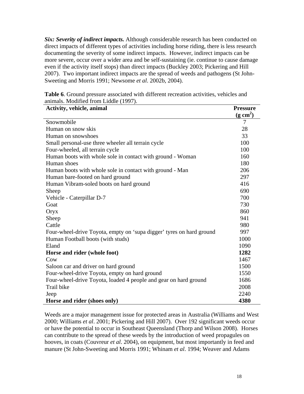*Six: Severity of indirect impacts.* Although considerable research has been conducted on direct impacts of different types of activities including horse riding, there is less research documenting the severity of some indirect impacts. However, indirect impacts can be more severe, occur over a wider area and be self-sustaining (ie. continue to cause damage even if the activity itself stops) than direct impacts (Buckley 2003; Pickering and Hill 2007). Two important indirect impacts are the spread of weeds and pathogens (St John-Sweeting and Morris 1991; Newsome *et al*. 2002b, 2004).

| <b>Activity, vehicle, animal</b>                                     | <b>Pressure</b>    |
|----------------------------------------------------------------------|--------------------|
|                                                                      | $(g \text{ cm}^2)$ |
| Snowmobile                                                           | $\tau$             |
| Human on snow skis                                                   | 28                 |
| Human on snowshoes                                                   | 33                 |
| Small personal-use three wheeler all terrain cycle                   | 100                |
| Four-wheeled, all terrain cycle                                      | 100                |
| Human boots with whole sole in contact with ground - Woman           | 160                |
| Human shoes                                                          | 180                |
| Human boots with whole sole in contact with ground - Man             | 206                |
| Human bare-footed on hard ground                                     | 297                |
| Human Vibram-soled boots on hard ground                              | 416                |
| Sheep                                                                | 690                |
| Vehicle - Caterpillar D-7                                            | 700                |
| Goat                                                                 | 730                |
| Oryx                                                                 | 860                |
| Sheep                                                                | 941                |
| Cattle                                                               | 980                |
| Four-wheel-drive Toyota, empty on 'supa digger' tyres on hard ground | 997                |
| Human Football boots (with studs)                                    | 1000               |
| Eland                                                                | 1090               |
| Horse and rider (whole foot)                                         | 1282               |
| Cow                                                                  | 1467               |
| Saloon car and driver on hard ground                                 | 1500               |
| Four-wheel-drive Toyota, empty on hard ground                        | 1550               |
| Four-wheel-drive Toyota, loaded 4 people and gear on hard ground     | 1686               |
| Trail bike                                                           | 2008               |
| Jeep                                                                 | 2240               |
| Horse and rider (shoes only)                                         | 4380               |

**Table 6**. Ground pressure associated with different recreation activities, vehicles and animals. Modified from Liddle (1997).

Weeds are a major management issue for protected areas in Australia (Williams and West 2000; Williams *et al*. 2001; Pickering and Hill 2007). Over 192 significant weeds occur or have the potential to occur in Southeast Queensland (Thorp and Wilson 2008). Horses can contribute to the spread of these weeds by the introduction of weed propagules on hooves, in coats (Couvreur *et al*. 2004), on equipment, but most importantly in feed and manure (St John-Sweeting and Morris 1991; Whinam *et al*. 1994; Weaver and Adams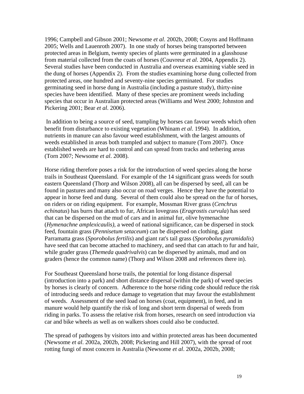1996; Campbell and Gibson 2001; Newsome *et al*. 2002b, 2008; Cosyns and Hoffmann 2005; Wells and Lauenroth 2007). In one study of horses being transported between protected areas in Belgium, twenty species of plants were germinated in a glasshouse from material collected from the coats of horses (Couvreur *et al*. 2004, Appendix 2). Several studies have been conducted in Australia and overseas examining viable seed in the dung of horses (Appendix 2). From the studies examining horse dung collected from protected areas, one hundred and seventy-nine species germinated. For studies germinating seed in horse dung in Australia (including a pasture study), thirty-nine species have been identified. Many of these species are prominent weeds including species that occur in Australian protected areas (Williams and West 2000; Johnston and Pickering 2001; Bear *et al*. 2006).

 In addition to being a source of seed, trampling by horses can favour weeds which often benefit from disturbance to existing vegetation (Whinam *et al*. 1994). In addition, nutrients in manure can also favour weed establishment, with the largest amounts of weeds established in areas both trampled and subject to manure (Torn 2007). Once established weeds are hard to control and can spread from tracks and tethering areas (Torn 2007; Newsome *et al*. 2008).

Horse riding therefore poses a risk for the introduction of weed species along the horse trails in Southeast Queensland. For example of the 14 significant grass weeds for south eastern Queensland (Thorp and Wilson 2008), all can be dispersed by seed, all can be found in pastures and many also occur on road verges. Hence they have the potential to appear in horse feed and dung. Several of them could also be spread on the fur of horses, on riders or on riding equipment. For example, Mossman River grass (*Cenchrus echinatus*) has burrs that attach to fur, African lovegrass (*Eragrostis curvula*) has seed that can be dispersed on the mud of cars and in animal fur, olive hymenachne (*Hymenachne amplexicaulis),* a weed of national significance, can be dispersed in stock feed, fountain grass (*Pennisetum setaceum*) can be dispersed on clothing, giant Parramatta grass (*Sporobolus fertilis*) and giant rat's tail grass (*Sporobolus pyramidalis*) have seed that can become attached to machinery, and seed that can attach to fur and hair, while grader grass (*Themeda quadrivalvis*) can be dispersed by animals, mud and on graders (hence the common name) (Thorp and Wilson 2008 and references there in).

For Southeast Queensland horse trails, the potential for long distance dispersal (introduction into a park) and short distance dispersal (within the park) of weed species by horses is clearly of concern. Adherence to the horse riding code should reduce the risk of introducing seeds and reduce damage to vegetation that may favour the establishment of weeds. Assessment of the seed load on horses (coat, equipment), in feed, and in manure would help quantify the risk of long and short term dispersal of weeds from riding in parks. To assess the relative risk from horses, research on seed introduction via car and bike wheels as well as on walkers shoes could also be conducted.

The spread of pathogens by visitors into and within protected areas has been documented (Newsome *et al*. 2002a, 2002b, 2008; Pickering and Hill 2007), with the spread of root rotting fungi of most concern in Australia (Newsome *et al*. 2002a, 2002b, 2008;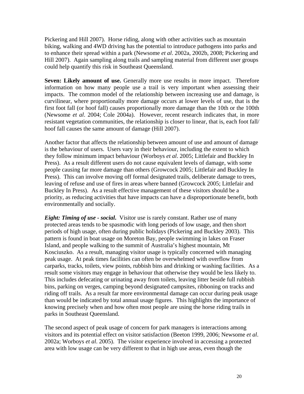Pickering and Hill 2007). Horse riding, along with other activities such as mountain biking, walking and 4WD driving has the potential to introduce pathogens into parks and to enhance their spread within a park (Newsome *et al*. 2002a, 2002b, 2008; Pickering and Hill 2007). Again sampling along trails and sampling material from different user groups could help quantify this risk in Southeast Queensland.

**Seven: Likely amount of use.** Generally more use results in more impact. Therefore information on how many people use a trail is very important when assessing their impacts. The common model of the relationship between increasing use and damage, is curvilinear, where proportionally more damage occurs at lower levels of use, that is the first foot fall (or hoof fall) causes proportionally more damage than the 10th or the 100th (Newsome *et al*. 2004; Cole 2004a). However, recent research indicates that, in more resistant vegetation communities, the relationship is closer to linear, that is, each foot fall/ hoof fall causes the same amount of damage (Hill 2007).

Another factor that affects the relationship between amount of use and amount of damage is the behaviour of users. Users vary in their behaviour, including the extent to which they follow minimum impact behaviour (Worboys *et al*. 2005; Littlefair and Buckley In Press). As a result different users do not cause equivalent levels of damage, with some people causing far more damage than others (Growcock 2005; Littlefair and Buckley In Press). This can involve moving off formal designated trails, deliberate damage to trees, leaving of refuse and use of fires in areas where banned (Growcock 2005; Littlefair and Buckley In Press). As a result effective management of these visitors should be a priority, as reducing activities that have impacts can have a disproportionate benefit, both environmentally and socially.

*Eight: Timing of use - social***.** Visitor use is rarely constant. Rather use of many protected areas tends to be spasmodic with long periods of low usage, and then short periods of high usage, often during public holidays (Pickering and Buckley 2003). This pattern is found in boat usage on Moreton Bay, people swimming in lakes on Fraser Island, and people walking to the summit of Australia's highest mountain, Mt Kosciuszko. As a result, managing visitor usage is typically concerned with managing peak usage. At peak times facilities can often be overwhelmed with overflow from carparks, tracks, toilets, view points, rubbish bins and drinking or washing facilities. As a result some visitors may engage in behaviour that otherwise they would be less likely to. This includes defecating or urinating away from toilets, leaving litter beside full rubbish bins, parking on verges, camping beyond designated campsites, ribboning on tracks and riding off trails. As a result far more environmental damage can occur during peak usage than would be indicated by total annual usage figures. This highlights the importance of knowing precisely when and how often most people are using the horse riding trails in parks in Southeast Queensland.

The second aspect of peak usage of concern for park managers is interactions among visitors and its potential effect on visitor satisfaction (Beeton 1999, 2006; Newsome *et al*. 2002a; Worboys *et al*. 2005). The visitor experience involved in accessing a protected area with low usage can be very different to that in high use areas, even though the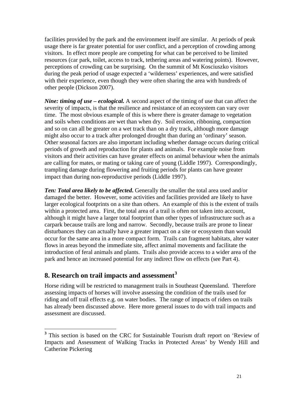<span id="page-24-1"></span><span id="page-24-0"></span>facilities provided by the park and the environment itself are similar. At periods of peak usage there is far greater potential for user conflict, and a perception of crowding among visitors. In effect more people are competing for what can be perceived to be limited resources (car park, toilet, access to track, tethering areas and watering points). However, perceptions of crowding can be surprising. On the summit of Mt Kosciuszko visitors during the peak period of usage expected a 'wilderness' experiences, and were satisfied with their experience, even though they were often sharing the area with hundreds of other people (Dickson 2007).

*Nine: timing of use – ecological.* A second aspect of the timing of use that can affect the severity of impacts, is that the resilience and resistance of an ecosystem can vary over time. The most obvious example of this is where there is greater damage to vegetation and soils when conditions are wet than when dry. Soil erosion, ribboning, compaction and so on can all be greater on a wet track than on a dry track, although more damage might also occur to a track after prolonged drought than during an 'ordinary' season. Other seasonal factors are also important including whether damage occurs during critical periods of growth and reproduction for plants and animals. For example noise from visitors and their activities can have greater effects on animal behaviour when the animals are calling for mates, or mating or taking care of young (Liddle 1997). Correspondingly, trampling damage during flowering and fruiting periods for plants can have greater impact than during non-reproductive periods (Liddle 1997).

*Ten: Total area likely to be affected***.** Generally the smaller the total area used and/or damaged the better. However, some activities and facilities provided are likely to have larger ecological footprints on a site than others. An example of this is the extent of trails within a protected area. First, the total area of a trail is often not taken into account, although it might have a larger total footprint than other types of infrastructure such as a carpark because trails are long and narrow. Secondly, because trails are prone to linear disturbances they can actually have a greater impact on a site or ecosystem than would occur for the same area in a more compact form. Trails can fragment habitats, alter water flows in areas beyond the immediate site, affect animal movements and facilitate the introduction of feral animals and plants. Trails also provide access to a wider area of the park and hence an increased potential for any indirect flow on effects (see Part 4).

# **8. Research on trail impacts and assessment[3](#page-24-1)**

 $\overline{a}$ 

Horse riding will be restricted to management trails in Southeast Queensland. Therefore assessing impacts of horses will involve assessing the condition of the trails used for riding and off trail effects e.g. on water bodies. The range of impacts of riders on trails has already been discussed above. Here more general issues to do with trail impacts and assessment are discussed.

**<sup>3</sup>** This section is based on the CRC for Sustainable Tourism draft report on 'Review of Impacts and Assessment of Walking Tracks in Protected Areas' by Wendy Hill and Catherine Pickering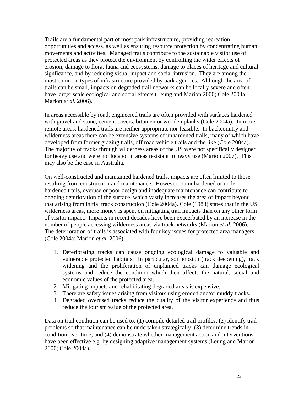Trails are a fundamental part of most park infrastructure, providing recreation opportunities and access, as well as ensuring resource protection by concentrating human movements and activities. Managed trails contribute to the sustainable visitor use of protected areas as they protect the environment by controlling the wider effects of erosion, damage to flora, fauna and ecosystems, damage to places of heritage and cultural signficance, and by reducing visual impact and social intrusion. They are among the most common types of infrastructure provided by park agencies. Although the area of trails can be small, impacts on degraded trail networks can be locally severe and often have larger scale ecological and social effects (Leung and Marion 2000; Cole 2004a; Marion *et al*. 2006).

In areas accessible by road, engineered trails are often provided with surfaces hardened with gravel and stone, cement pavers, bitumen or wooden planks (Cole 2004a). In more remote areas, hardened trails are neither appropriate nor feasible. In backcountry and wilderness areas there can be extensive systems of unhardened trails, many of which have developed from former grazing trails, off road vehicle trails and the like (Cole 2004a). The majority of tracks through wilderness areas of the US were not specifically designed for heavy use and were not located in areas resistant to heavy use (Marion 2007). This may also be the case in Australia.

On well-constructed and maintained hardened trails, impacts are often limited to those resulting from construction and maintenance. However, on unhardened or under hardened trails, overuse or poor design and inadequate maintenance can contribute to ongoing deterioration of the surface, which vastly increases the area of impact beyond that arising from initial track construction (Cole 2004a). Cole (1983) states that in the US wilderness areas, more money is spent on mitigating trail impacts than on any other form of visitor impact. Impacts in recent decades have been exacerbated by an increase in the number of people accessing wilderness areas via track networks (Marion *et al*. 2006). The deterioration of trails is associated with four key issues for protected area managers (Cole 2004a; Marion *et al*. 2006).

- 1. Deteriorating tracks can cause ongoing ecological damage to valuable and vulnerable protected habitats. In particular, soil erosion (track deepening), track widening and the proliferation of unplanned tracks can damage ecological systems and reduce the condition which then affects the natural, social and economic values of the protected area.
- 2. Mitigating impacts and rehabilitating degraded areas is expensive.
- 3. There are safety issues arising from visitors using eroded and/or muddy tracks.
- 4. Degraded overused tracks reduce the quality of the visitor experience and thus reduce the tourism value of the protected area.

Data on trail condition can be used to: (1) compile detailed trail profiles; (2) identify trail problems so that maintenance can be undertaken strategically; (3) determine trends in condition over time; and (4) demonstrate whether management action and interventions have been effective e.g. by designing adaptive management systems (Leung and Marion 2000; Cole 2004a).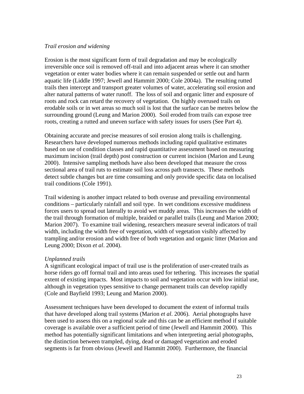#### *Trail erosion and widening*

Erosion is the most significant form of trail degradation and may be ecologically irreversible once soil is removed off-trail and into adjacent areas where it can smother vegetation or enter water bodies where it can remain suspended or settle out and harm aquatic life (Liddle 1997; Jewell and Hammitt 2000; Cole 2004a). The resulting rutted trails then intercept and transport greater volumes of water, accelerating soil erosion and alter natural patterns of water runoff. The loss of soil and organic litter and exposure of roots and rock can retard the recovery of vegetation. On highly overused trails on erodable soils or in wet areas so much soil is lost that the surface can be metres below the surrounding ground (Leung and Marion 2000). Soil eroded from trails can expose tree roots, creating a rutted and uneven surface with safety issues for users (See Part 4).

Obtaining accurate and precise measures of soil erosion along trails is challenging. Researchers have developed numerous methods including rapid qualitative estimates based on use of condition classes and rapid quantitative assessment based on measuring maximum incision (trail depth) post construction or current incision (Marion and Leung 2000). Intensive sampling methods have also been developed that measure the cross sectional area of trail ruts to estimate soil loss across path transects. These methods detect subtle changes but are time consuming and only provide specific data on localised trail conditions (Cole 1991).

Trail widening is another impact related to both overuse and prevailing environmental conditions – particularly rainfall and soil type. In wet conditions excessive muddiness forces users to spread out laterally to avoid wet muddy areas. This increases the width of the trail through formation of multiple, braided or parallel trails (Leung and Marion 2000; Marion 2007). To examine trail widening, researchers measure several indicators of trail width, including the width free of vegetation, width of vegetation visibly affected by trampling and/or erosion and width free of both vegetation and organic litter (Marion and Leung 2000; Dixon *et al*. 2004).

#### *Unplanned trails*

A significant ecological impact of trail use is the proliferation of user-created trails as horse riders go off formal trail and into areas used for tethering. This increases the spatial extent of existing impacts. Most impacts to soil and vegetation occur with low initial use, although in vegetation types sensitive to change permanent trails can develop rapidly (Cole and Bayfield 1993; Leung and Marion 2000).

Assessment techniques have been developed to document the extent of informal trails that have developed along trail systems (Marion *et al*. 2006). Aerial photographs have been used to assess this on a regional scale and this can be an efficient method if suitable coverage is available over a sufficient period of time (Jewell and Hammitt 2000). This method has potentially significant limitations and when interpreting aerial photographs, the distinction between trampled, dying, dead or damaged vegetation and eroded segments is far from obvious (Jewell and Hammitt 2000). Furthermore, the financial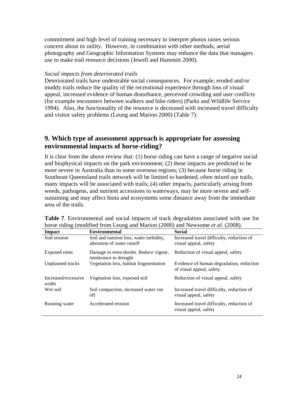<span id="page-27-0"></span>commitment and high level of training necessary to interpret photos raises serious concern about its utility. However, in combination with other methods, aerial photography and Geographic Information Systems may enhance the data that managers use to make trail resource decisions (Jewell and Hammitt 2000).

#### *Social impacts from deteriorated trails*

Deteriorated trails have undesirable social consequences. For example, eroded and/or muddy trails reduce the quality of the recreational experience through loss of visual appeal, increased evidence of human disturbance, perceived crowding and user conflicts (for example encounters between walkers and bike riders) (Parks and Wildlife Service 1994). Also, the functionality of the resource is decreased with increased travel difficulty and visitor safety problems (Leung and Marion 2000) (Table 7).

### **9. Which type of assessment approach is appropriate for assessing environmental impacts of horse-riding?**

It is clear from the above review that: (1) horse riding can have a range of negative social and biophysical impacts on the park environment; (2) these impacts are predicted to be more severe in Australia than in some overseas regions; (3) because horse riding in Southeast Queensland trails network will be limited to hardened, often mixed use trails, many impacts will be associated with trails; (4) other impacts, particularly arising from weeds, pathogens, and nutrient accessions to waterways, may be more severe and selfsustaining and may affect biota and ecosystems some distance away from the immediate area of the trails.

| Impact                       | <b>Environmental</b>                                                   | <b>Social</b>                                                        |
|------------------------------|------------------------------------------------------------------------|----------------------------------------------------------------------|
| Soil erosion                 | Soil and nutrient loss, water turbidity,<br>alteration of water runoff | Increased travel difficulty, reduction of<br>visual appeal, safety   |
| Exposed roots                | Damage to trees/shrubs. Reduce vigour,<br>intolerance to drought       | Reduction of visual appeal, safety                                   |
| Unplanned tracks             | Vegetation loss, habitat fragmentation                                 | Evidence of human degradation, reduction<br>of visual appeal, safety |
| Increased/excessive<br>width | Vegetation loss, exposed soil                                          | Reduction of visual appeal, safety                                   |
| Wet soil                     | Soil compaction, increased water run<br>off                            | Increased travel difficulty, reduction of<br>visual appeal, safety   |
| Running water                | Accelerated erosion                                                    | Increased travel difficulty, reduction of<br>visual appeal, safety   |

| <b>Table 7.</b> Environmental and social impacts of track degradation associated with use for |  |  |  |  |
|-----------------------------------------------------------------------------------------------|--|--|--|--|
| horse riding (modified from Leung and Marion (2000) and Newsome <i>et al.</i> (2008).         |  |  |  |  |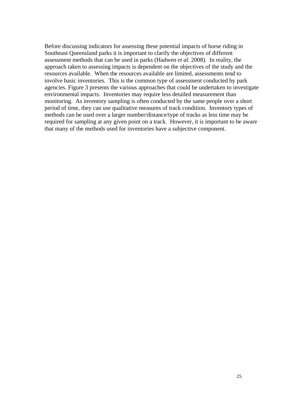Before discussing indicators for assessing these potential impacts of horse riding in Southeast Queensland parks it is important to clarify the objectives of different assessment methods that can be used in parks (Hadwen *et al*. 2008). In reality, the approach taken to assessing impacts is dependent on the objectives of the study and the resources available. When the resources available are limited, assessments tend to involve basic inventories. This is the common type of assessment conducted by park agencies. Figure 3 presents the various approaches that could be undertaken to investigate environmental impacts. Inventories may require less detailed measurement than monitoring. As inventory sampling is often conducted by the same people over a short period of time, they can use qualitative measures of track condition. Inventory types of methods can be used over a larger number/distance/type of tracks as less time may be required for sampling at any given point on a track. However, it is important to be aware that many of the methods used for inventories have a subjective component.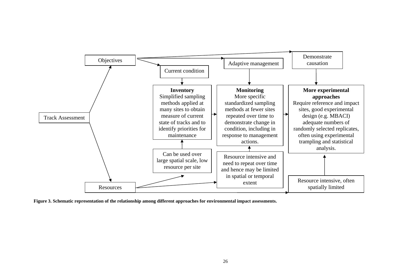

**Figure 3. Schematic representation of the relationship among different approaches for environmental impact assessments.**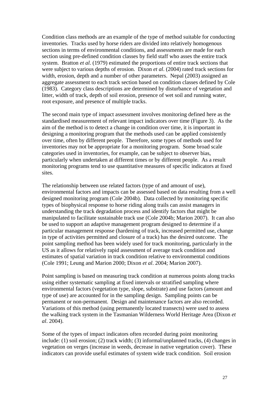Condition class methods are an example of the type of method suitable for conducting inventories. Tracks used by horse riders are divided into relatively homogenous sections in terms of environmental conditions, and assessments are made for each section using pre-defined condition classes by field staff who asses the entire track system. Bratton *et al*. (1979) estimated the proportions of entire track sections that were subject to various depths of erosion. Dixon *et al*. (2004) rated track sections for width, erosion, depth and a number of other parameters. Nepal (2003) assigned an aggregate assessment to each track section based on condition classes defined by Cole (1983). Category class descriptions are determined by disturbance of vegetation and litter, width of track, depth of soil erosion, presence of wet soil and running water, root exposure, and presence of multiple tracks.

The second main type of impact assessment involves monitoring defined here as the standardised measurement of relevant impact indicators over time (Figure 3). As the aim of the method is to detect a change in condition over time, it is important in designing a monitoring program that the methods used can be applied consistently over time, often by different people. Therefore, some types of methods used for inventories may not be appropriate for a monitoring program. Some broad scale categories used in inventories, for example, can be subject to observer bias, particularly when undertaken at different times or by different people. As a result monitoring programs tend to use quantitative measures of specific indicators at fixed sites.

The relationship between use related factors (type of and amount of use), environmental factors and impacts can be assessed based on data resulting from a well designed monitoring program (Cole 2004b). Data collected by monitoring specific types of biophysical response to horse riding along trails can assist managers in understanding the track degradation process and identify factors that might be manipulated to facilitate sustainable track use (Cole 2004b; Marion 2007). It can also be used to support an adaptive management program designed to determine if a particular management response (hardening of track, increased permitted use, change in type of activities permitted and closure of a track) has the desired outcome. The point sampling method has been widely used for track monitoring, particularly in the US as it allows for relatively rapid assessment of average track condition and estimates of spatial variation in track condition relative to environmental conditions (Cole 1991; Leung and Marion 2000; Dixon *et al*. 2004; Marion 2007).

Point sampling is based on measuring track condition at numerous points along tracks using either systematic sampling at fixed intervals or stratified sampling where environmental factors (vegetation type, slope, substrate) and use factors (amount and type of use) are accounted for in the sampling design. Sampling points can be permanent or non-permanent. Design and maintenance factors are also recorded. Variations of this method (using permanently located transects) were used to assess the walking track system in the Tasmanian Wilderness World Heritage Area (Dixon *et al*. 2004).

Some of the types of impact indicators often recorded during point monitoring include: (1) soil erosion; (2) track width; (3) informal/unplanned tracks, (4) changes in vegetation on verges (increase in weeds, decrease in native vegetation cover). These indicators can provide useful estimates of system wide track condition. Soil erosion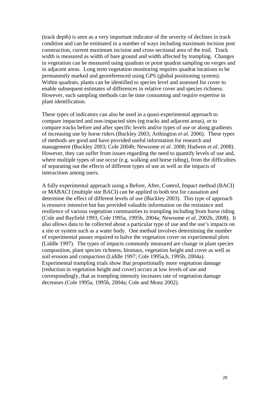(track depth) is seen as a very important indicator of the severity of declines in track condition and can be estimated in a number of ways including maximum incision post construction, current maximum incision and cross sectional area of the trail. Track width is measured as width of bare ground and width affected by trampling. Changes in vegetation can be measured using quadrats or point quadrat sampling on verges and in adjacent areas. Long term vegetation monitoring requires quadrat locations to be permanently marked and georeferenced using GPS (global positioning system). Within quadrats, plants can be identified to species level and assessed for cover to enable subsequent estimates of differences in relative cover and species richness. However, such sampling methods can be time consuming and require expertise in plant identification.

These types of indicators can also be used in a quasi-experimental approach to compare impacted and non-impacted sites (eg tracks and adjacent areas), or to compare tracks before and after specific levels and/or types of use or along gradients of increasing use by horse riders (Buckley 2003; Arthington *et al*. 2006). These types of methods are good and have provided useful information for research and management (Buckley 2003; Cole 2004b; Newsome *et al*. 2008; Hadwen *et al*. 2008). However, they can suffer from issues regarding the need to quantify levels of use and, where multiple types of use occur (e.g. walking and horse riding), from the difficulties of separating out the effects of different types of use as well as the impacts of interactions among users.

A fully experimental approach using a Before, After, Control, Impact method (BACI) or MABACI (multiple site BACI) can be applied to both test for causation and determine the effect of different levels of use (Buckley 2003). This type of approach is resource intensive but has provided valuable information on the resistance and resilience of various vegetation communities to trampling including from horse riding (Cole and Bayfield 1993; Cole 1995a, 1995b, 2004a; Newsome *et al*. 2002b, 2008). It also allows data to be collected about a particular type of use and the use's impacts on a site or system such as a water body. One method involves determining the number of experimental passes required to halve the vegetation cover on experimental plots (Liddle 1997). The types of impacts commonly measured are change in plant species composition, plant species richness, biomass, vegetation height and cover as well as soil erosion and compaction (Liddle 1997; Cole 1995a,b, 1995b, 2004a). Experimental trampling trials show that proportionally more vegetation damage (reduction in vegetation height and cover) occurs at low levels of use and correspondingly, that as trampling intensity increases rate of vegetation damage decreases (Cole 1995a, 1995b, 2004a; Cole and Monz 2002).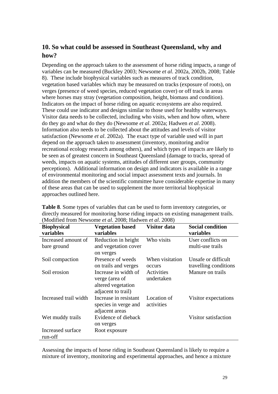# <span id="page-32-0"></span>**10. So what could be assessed in Southeast Queensland, why and how?**

Depending on the approach taken to the assessment of horse riding impacts, a range of variables can be measured (Buckley 2003; Newsome *et al*. 2002a, 2002b, 2008; Table 8). These include biophysical variables such as measures of track condition, vegetation based variables which may be measured on tracks (exposure of roots), on verges (presence of weed species, reduced vegetation cover) or off track in areas where horses may stray (vegetation composition, height, biomass and condition). Indicators on the impact of horse riding on aquatic ecosystems are also required. These could use indicator and designs similar to those used for healthy waterways. Visitor data needs to be collected, including who visits, when and how often, where do they go and what do they do (Newsome *et al*. 2002a; Hadwen *et al*. 2008). Information also needs to be collected about the attitudes and levels of visitor satisfaction (Newsome *et al*. 2002a). The exact type of variable used will in part depend on the approach taken to assessment (inventory, monitoring and/or recreational ecology research among others), and which types of impacts are likely to be seen as of greatest concern in Southeast Queensland (damage to tracks, spread of weeds, impacts on aquatic systems, attitudes of different user groups, community perceptions). Additional information on design and indicators is available in a range of environmental monitoring and social impact assessment texts and journals. In addition the members of the scientific committee have considerable expertise in many of these areas that can be used to supplement the more territorial biophysical approaches outlined here.

| <b>Biophysical</b>                 | <b>Vegetation based</b>                                                            | Visitor data              | <b>Social condition</b>                      |
|------------------------------------|------------------------------------------------------------------------------------|---------------------------|----------------------------------------------|
| variables                          | variables                                                                          |                           | variables                                    |
| Increased amount of<br>bare ground | Reduction in height<br>and vegetation cover<br>on verges                           | Who visits                | User conflicts on<br>multi-use trails        |
| Soil compaction                    | Presence of weeds<br>on trails and verges                                          | When visitation<br>occurs | Unsafe or difficult<br>travelling conditions |
| Soil erosion                       | Increase in width of<br>verge (area of<br>altered vegetation<br>adjacent to trail) | Activities<br>undertaken  | Manure on trails                             |
| Increased trail width              | Increase in resistant<br>species in verge and<br>adjacent areas                    | Location of<br>activities | Visitor expectations                         |
| Wet muddy trails                   | Evidence of dieback<br>on verges                                                   |                           | Visitor satisfaction                         |
| Increased surface<br>run-off       | Root exposure                                                                      |                           |                                              |

**Table 8**. Some types of variables that can be used to form inventory categories, or directly measured for monitoring horse riding impacts on existing management trails. (Modified from Newsome *et al*. 2008; Hadwen *et al*. 2008)

Assessing the impacts of horse riding in Southeast Queensland is likely to require a mixture of inventory, monitoring and experimental approaches, and hence a mixture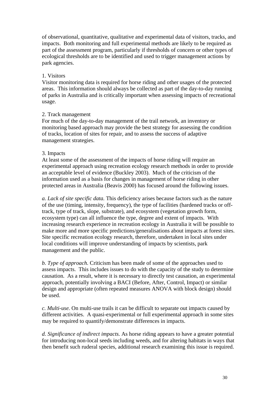of observational, quantitative, qualitative and experimental data of visitors, tracks, and impacts. Both monitoring and full experimental methods are likely to be required as part of the assessment program, particularly if thresholds of concern or other types of ecological thresholds are to be identified and used to trigger management actions by park agencies.

#### 1. Visitors

Visitor monitoring data is required for horse riding and other usages of the protected areas. This information should always be collected as part of the day-to-day running of parks in Australia and is critically important when assessing impacts of recreational usage.

#### 2. Track management

For much of the day-to-day management of the trail network, an inventory or monitoring based approach may provide the best strategy for assessing the condition of tracks, location of sites for repair, and to assess the success of adaptive management strategies.

#### 3. Impacts

At least some of the assessment of the impacts of horse riding will require an experimental approach using recreation ecology research methods in order to provide an acceptable level of evidence (Buckley 2003). Much of the criticism of the information used as a basis for changes in management of horse riding in other protected areas in Australia (Beavis 2000) has focused around the following issues.

*a. Lack of site specific data.* This deficiency arises because factors such as the nature of the use (timing, intensity, frequency), the type of facilities (hardened tracks or offtrack, type of track, slope, substrate), and ecosystem (vegetation growth form, ecosystem type) can all influence the type, degree and extent of impacts. With increasing research experience in recreation ecology in Australia it will be possible to make more and more specific predictions/generalisations about impacts at forest sites. Site specific recreation ecology research, therefore, undertaken in local sites under local conditions will improve understanding of impacts by scientists, park management and the public.

*b. Type of approach.* Criticism has been made of some of the approaches used to assess impacts. This includes issues to do with the capacity of the study to determine causation. As a result, where it is necessary to directly test causation, an experimental approach, potentially involving a BACI (Before, After, Control, Impact) or similar design and appropriate (often repeated measures ANOVA with block design) should be used.

*c. Multi-use.* On multi-use trails it can be difficult to separate out impacts caused by different activities. A quasi-experimental or full experimental approach in some sites may be required to quantify/demonstrate differences in impacts.

*d. Significance of indirect impacts.* As horse riding appears to have a greater potential for introducing non-local seeds including weeds, and for altering habitats in ways that then benefit such ruderal species, additional research examining this issue is required.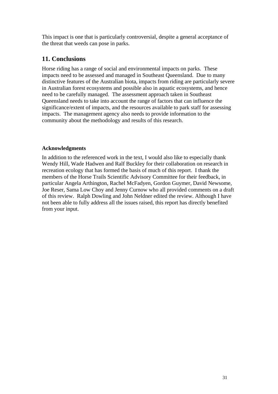<span id="page-34-0"></span>This impact is one that is particularly controversial, despite a general acceptance of the threat that weeds can pose in parks.

# **11. Conclusions**

Horse riding has a range of social and environmental impacts on parks. These impacts need to be assessed and managed in Southeast Queensland. Due to many distinctive features of the Australian biota, impacts from riding are particularly severe in Australian forest ecosystems and possible also in aquatic ecosystems, and hence need to be carefully managed. The assessment approach taken in Southeast Queensland needs to take into account the range of factors that can influence the significance/extent of impacts, and the resources available to park staff for assessing impacts. The management agency also needs to provide information to the community about the methodology and results of this research.

#### **Acknowledgments**

In addition to the referenced work in the text, I would also like to especially thank Wendy Hill, Wade Hadwen and Ralf Buckley for their collaboration on research in recreation ecology that has formed the basis of much of this report. I thank the members of the Horse Trails Scientific Advisory Committee for their feedback, in particular Angela Arthington, Rachel McFadyen, Gordon Guymer, David Newsome, Joe Reser, Sama Low Choy and Jenny Curnow who all provided comments on a draft of this review. Ralph Dowling and John Neldner edited the review. Although I have not been able to fully address all the issues raised, this report has directly benefited from your input.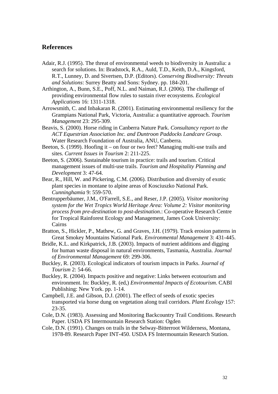### <span id="page-35-0"></span>**References**

- Adair, R.J. (1995). The threat of environmental weeds to biodiversity in Australia: a search for solutions. In: Bradstock, R.A., Auld, T.D., Keith, D.A., Kingsford, R.T., Lunney, D. and Sivertsen, D.P. (Editors). *Conserving Biodiversity: Threats and Solutions*: Surrey Beatty and Sons: Sydney. pp. 184-201.
- Arthington, A., Bunn, S.E., Poff, N.L. and Naiman, R.J. (2006). The challenge of providing environmental flow rules to sustain river ecosystems. *Ecological Applications* 16: 1311-1318.
- Arrowsmith, C. and Inbakaran R. (2001). Estimating environmental resiliency for the Grampians National Park, Victoria, Australia: a quantitative approach. *Tourism Management* 23: 295-309.
- Beavis, S. (2000). Horse riding in Canberra Nature Park. *Consultancy report to the ACT Equestrian Association Inc. and Duntroon Paddocks Landcare Group*. Water Research Foundation of Australia, ANU, Canberra.
- Beeton, S. (1999). Hoofing it on four or two feet? Managing multi-use trails and sites. *Current Issues in Tourism* 2: 211-225.
- Beeton, S. (2006). Sustainable tourism in practice: trails and tourism. Critical management issues of multi-use trails. *Tourism and Hospitality Planning and Development* 3: 47-64.
- Bear, R., Hill, W. and Pickering, C.M. (2006). Distribution and diversity of exotic plant species in montane to alpine areas of Kosciuszko National Park. *Cunninghamia* 9: 559-570.
- Bentrupperbäumer, J.M., O'Farrell, S.E., and Reser, J.P. (2005). *Visitor monitoring system for the Wet Tropics World Heritage Area: Volume 2: Visitor monitoring process from pre-destination to post-destination*.: Co-operative Research Centre for Tropical Rainforest Ecology and Management, James Cook University: Cairns
- Bratton, S., Hickler, P., Mathew, G. and Graves, J.H. (1979). Track erosion patterns in Great Smokey Mountains National Park. *Environmental Management* 3: 431-445.
- Bridle, K.L. and Kirkpatrick, J.B. (2003). Impacts of nutrient additions and digging for human waste disposal in natural environments, Tasmania, Australia. *Journal of Environmental Management* 69: 299-306.
- Buckley, R. (2003). Ecological indicators of tourism impacts in Parks. *Journal of Tourism* 2: 54-66.
- Buckley, R. (2004). Impacts positive and negative: Links between ecotourism and environment. In: Buckley, R. (ed,) *Environmental Impacts of Ecotourism*. CABI Publishing: New York. pp. 1-14.
- Campbell, J.E. and Gibson, D.J. (2001). The effect of seeds of exotic species transported via horse dung on vegetation along trail corridors. *Plant Ecology* 157: 23-35.
- Cole, D.N. (1983). Assessing and Monitoring Backcountry Trail Conditions. Research Paper. USDA FS Intermountain Research Station: Ogden
- Cole, D.N. (1991). Changes on trails in the Selway-Bitterroot Wilderness, Montana, 1978-89. Research Paper INT-450. USDA FS Intermountain Research Station.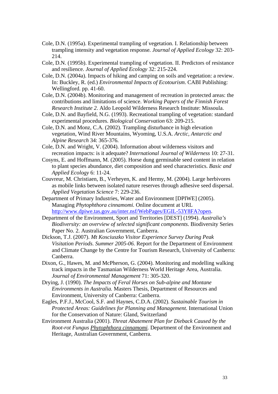- Cole, D.N. (1995a). Experimental trampling of vegetation. I. Relationship between trampling intensity and vegetation response*. Journal of Applied Ecology* 32: 203- 214.
- Cole, D.N. (1995b). Experimental trampling of vegetation. II. Predictors of resistance and resilience. *Journal of Applied Ecology* 32: 215-224.
- Cole, D.N. (2004a). Impacts of hiking and camping on soils and vegetation: a review. In: Buckley, R. (ed.) *Environmental Impacts of Ecotourism*. CABI Publishing: Wellingford. pp. 41-60.
- Cole, D.N. (2004b). Monitoring and management of recreation in protected areas: the contributions and limitations of science. *Working Papers of the Finnish Forest Research Institute 2*. Aldo Leopold Wilderness Research Institute: Missoula.
- Cole, D.N. and Bayfield, N.G. (1993). Recreational trampling of vegetation: standard experimental procedures. *Biological Conservation* 63: 209-215.
- Cole, D.N. and Monz, C.A. (2002). Trampling disturbance in high elevation vegetation, Wind River Mountains, Wyoming, U.S.A. *Arctic, Antarctic and Alpine Research* 34: 365-376.
- Cole, D.N. and Wright, V. (2004). Information about wilderness visitors and recreation impacts: is it adequate? *International Journal of Wilderness* 10: 27-31.
- Cosyns, E. and Hoffmann, M. (2005). Horse dung germinable seed content in relation to plant species abundance, diet composition and seed characteristics. *Basic and Applied Ecology* 6: 11-24.
- Couvreur, M. Christiaen, B., Verheyen, K. and Hermy, M. (2004). Large herbivores as mobile links between isolated nature reserves through adhesive seed dispersal. *Applied Vegetation Science* 7: 229-236.
- Department of Primary Industries, Water and Environment [DPIWE] (2005). Managing *Phytophthora cinnamomi.* Online document at URL <http://www.dpiwe.tas.gov.au/inter.nsf/WebPages/EGIL-53Y8FA?open>.
- Department of the Environment, Sport and Territories [DEST] (1994). *Australia's Biodiversity: an overview of selected significant components*. Biodiversity Series Paper No. 2. Australian Government, Canberra.
- Dickson, T.J. (2007). *Mt Kosciuszko Visitor Experience Survey During Peak Visitation Periods. Summer 2005-06.* Report for the Department of Environment and Climate Change by the Centre for Tourism Research, University of Canberra: Canberra.
- Dixon, G., Hawes, M. and McPherson, G. (2004). Monitoring and modelling walking track impacts in the Tasmanian Wilderness World Heritage Area, Australia. *Journal of Environmental Management* 71: 305-320.
- Drying, J. (1990). *The Impacts of Feral Horses on Sub-alpine and Montane Environments in Australia.* Masters Thesis, Department of Resources and Environment, University of Canberra: Canberra.
- Eagles, P.F.J., McCool, S.F. and Haynes, C.D.A. (2002). *Sustainable Tourism in Protected Areas: Guidelines for Planning and Management*. International Union for the Conservation of Nature: Gland, Switzerland
- Environment Australia (2001). *Threat Abatement Plan for Dieback Caused by the Root-rot Fungus Phytophthora cinnamomi.* Department of the Environment and Heritage, Australian Government, Canberra.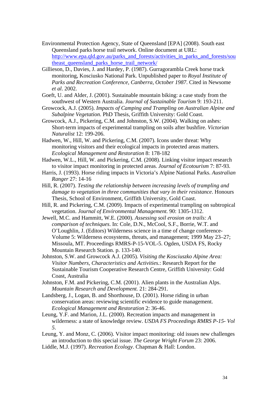- Environmental Protection Agency, State of Queensland [EPA] (2008). South east Queensland parks horse trail network. Online document at URL: [http://www.epa.qld.gov.au/parks\\_and\\_forests/activities\\_in\\_parks\\_and\\_forests/sou](http://www.epa.qld.gov.au/parks_and_forests/activities_in_parks_and_forests/southeast_queensland_parks_horse_trail_network/) [theast\\_queensland\\_parks\\_horse\\_trail\\_network/](http://www.epa.qld.gov.au/parks_and_forests/activities_in_parks_and_forests/southeast_queensland_parks_horse_trail_network/)
- Gillieson, D., Davies, J. and Hardey, P. (1987). Gurragorambla Creek horse track monitoring, Kosciusko National Park. Unpublished paper to *Royal Institute of Parks and Recreation Conference, Canberra, October 1987*. Cited in Newsome *et al*. 2002.
- Goeft, U. and Alder, J. (2001). Sustainable mountain biking: a case study from the southwest of Western Australia. *Journal of Sustainable Tourism* 9: 193-211.
- Growcock, A.J. (2005). *Impacts of Camping and Trampling on Australian Alpine and Subalpine Vegetation*. PhD Thesis, Griffith University: Gold Coast.
- Growcock, A.J., Pickering, C.M. and Johnston, S.W. (2004). Walking on ashes: Short-term impacts of experimental trampling on soils after bushfire. *Victorian Naturalist* 12: 199-206.
- Hadwen, W., Hill, W. and Pickering, C.M. (2007). Icons under threat: Why monitoring visitors and their ecological impacts in protected areas matters. *Ecological Management and Restoration* 8: 178-182
- Hadwen, W.L., Hill, W. and Pickering, C.M. (2008). Linking visitor impact research to visitor impact monitoring in protected areas. *Journal of Ecotourism* 7: 87-93.
- Harris, J. (1993). Horse riding impacts in Victoria's Alpine National Parks. *Australian Ranger* 27: 14-16
- Hill, R. (2007). *Testing the relationship between increasing levels of trampling and damage to vegetation in three communities that vary in their resistance*. Honours Thesis, School of Environment, Griffith University, Gold Coast.
- Hill, R. and Pickering, C.M. (2009). Impacts of experimental trampling on subtropical vegetation. *Journal of Environmental Management.* 90: 1305-1312.
- Jewell, M.C. and Hammitt, W.E. (2000). *Assessing soil erosion on trails: A comparison of techniques*. In: Cole, D.N., McCool, S.F., Borrie, W.T. and O'Loughlin, J. (Editors) Wilderness science in a time of change conference-Volume 5: Wilderness ecosystems, threats, and management; 1999 May 23–27; Missoula, MT. Proceedings RMRS-P-15-VOL-5. Ogden, USDA FS, Rocky Mountain Research Station. p. 133-140.
- Johnston, S.W. and Growcock A.J. (2005). *Visiting the Kosciuszko Alpine Area: Visitor Numbers, Characteristics and Activities.*: Research Report for the Sustainable Tourism Cooperative Research Centre, Griffith University: Gold Coast, Australia
- Johnston, F.M. and Pickering, C.M. (2001). Alien plants in the Australian Alps. *Mountain Research and Development.* 21: 284-291.
- Landsberg, J., Logan, B. and Shorthouse, D. (2001). Horse riding in urban conservation areas: reviewing scientific evidence to guide management. *Ecological Management and Restoration* 2: 36-46.
- Leung, Y.F. and Marion, J.L. (2000). Recreation impacts and management in wilderness: a state of knowledge review. *USDA FS Proceedings RMRS P-15- Vol 5*.
- Leung, Y. and Monz, C. (2006). Visitor impact monitoring: old issues new challenges an introduction to this special issue. *The George Wright Forum* 23: 2006.
- Liddle, M.J. (1997). *Recreation Ecology*. Chapman & Hall: London.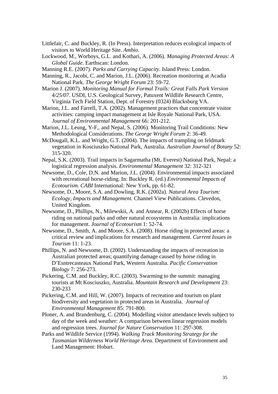- Littlefair, C. and Buckley, R. (In Press). Interpretation reduces ecological impacts of visitors to World Heritage Site. *Ambio.*
- Lockwood, M., Worboys, G.L. and Kothari, A. (2006). *Managing Protected Areas: A Global Guide.* Earthscan: London.

Manning R.E. (2007). *Parks and Carrying Capacity*. Island Press: London.

- Manning, R., Jacobi, C. and Marion, J.L. (2006). Recreation monitoring at Acadia National Park. *The George Wright Forum* 23: 59-72.
- Marion J. (2007). *Monitoring Manual for Formal Trails: Great Falls Park Version 4/25/07*. USDI, U.S. Geological Survey, Patuxent Wildlife Research Centre, Virginia Tech Field Station, Dept. of Forestry (0324) Blacksburg VA.
- Marion, J.L. and Farrell, T.A. (2002). Management practices that concentrate visitor activities: camping impact management at Isle Royale National Park, USA. *Journal of Environmental Management* 66: 201-212.
- Marion, J.L. Leung, Y-F,. and Nepal, S. (2006). Monitoring Trail Conditions: New Methodological Considerations. *The George Wright Forum* 2: 36-49.
- McDougall, K.L. and Wright, G.T. (2004). The impacts of trampling on feldmark vegetation in Kosciuszko National Park, Australia. *Australian Journal of Botany* 52: 315-320.
- Nepal, S.K. (2003). Trail impacts in Sagarmatha (Mt. Everest) National Park, Nepal: a logistical regression analysis. *Environmental Management* 32: 312-321
- Newsome, D., Cole, D.N. and Marion, J.L. (2004). Environmental impacts associated with recreational horse-riding. In: Buckley R. (ed.) *Environmental Impacts of Ecotourism. CABI* International: New York, pp. 61-82.
- Newsome, D., Moore, S.A. and Dowling, R.K. (2002a). *Natural Area Tourism: Ecology, Impacts and Management.* Channel View Publications. Clevedon, United Kingdom.
- Newsome, D., Phillips, N., Milewskii, A. and Annear, R. (2002b) Effects of horse riding on national parks and other natural ecosystems in Australia: implications for management. *Journal of Ecotourism* 1: 52-74.
- Newsome, D., Smith, A. and Moore, S.A. (2008). Horse riding in protected areas: a critical review and implications for research and management. *Current Issues in Tourism* 11: 1-23.
- Phillips, N. and Newsome, D. (2002). Understanding the impacts of recreation in Australian protected areas; quantifying damage caused by horse riding in D'Esntrecasteaux National Park, Western Australia. *Pacific Conservation Biology* 7: 256-273.
- Pickering, C.M. and Buckley, R.C. (2003). Swarming to the summit: managing tourists at Mt Kosciuszko, Australia. *Mountain Research and Development* 23: 230-233
- Pickering, C.M. and Hill, W. (2007). Impacts of recreation and tourism on plant biodiversity and vegetation in protected areas in Australia. *Journal of Environmental Management* 85: 791-800.
- Ploner, A. and Brandenburg, C. (2004). Modelling visitor attendance levels subject to day of the week and weather: A comparison between linear regression models and regression trees. *Journal for Nature Conservation* 11: 297-308.
- Parks and Wildlife Service (1994). *Walking Track Monitoring Strategy for the Tasmanian Wilderness World Heritage Area.* Department of Environment and Land Management: Hobart.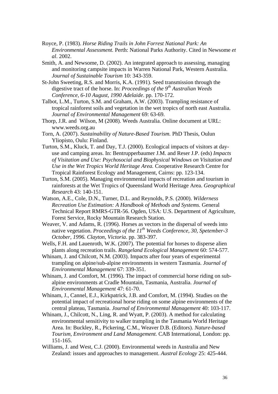- Royce, P. (1983). *Horse Riding Trails in John Forrest National Park: An Environmental Assessment.* Perth: National Parks Authority. Cited in Newsome *et al*. 2002.
- Smith, A. and Newsome, D. (2002). An integrated approach to assessing, managing and monitoring campsite impacts in Warren National Park, Western Australia. *Journal of Sustainable Tourism* 10: 343-359.
- St-John Sweeting, R.S. and Morris, K.A. (1991). Seed transmission through the digestive tract of the horse. In: *Proceedings of the 9th Australian Weeds Conference, 6-10 August, 1990 Adelaide*. pp. 170-172.
- Talbot, L.M., Turton, S.M. and Graham, A.W. (2003). Trampling resistance of tropical rainforest soils and vegetation in the wet tropics of north east Australia. *Journal of Environmental Management* 69: 63-69.
- Thorp, J.R. and Wilson, M (2008). Weeds Australia. Online document at URL: www.weeds.org.au
- Torn, A. (2007). *Sustainability of Nature-Based Tourism.* PhD Thesis, Oulun Yliopisto, Oulu: Finland.
- Turton, S.M., Kluck, T. and Day, T.J. (2000). Ecological impacts of visitors at dayuse and camping areas. In: Bentrupperbaumer J.M. and Reser J.P. (eds) *Impacts of Visitation and Use: Psychosocial and Biophysical Windows on Visitation and Use in the Wet Tropics World Heritage Area.* Cooperative Research Centre for Tropical Rainforest Ecology and Management, Cairns: pp. 123-134.
- Turton, S.M. (2005). Managing environmental impacts of recreation and tourism in rainforests at the Wet Tropics of Queensland World Heritage Area. *Geographical Research* 43: 140-151.
- Watson, A.E., Cole, D.N., Turner, D.L. and Reynolds, P.S. (2000). *Wilderness Recreation Use Estimation: A Handbook of Methods and Systems.* General Technical Report RMRS-GTR-56. Ogden, USA: U.S. Department of Agriculture, Forest Service, Rocky Mountain Research Station.
- Weaver, V. and Adams, R. (1996). Horses as vectors in the dispersal of weeds into native vegetation. *Proceedings of the 11th Weeds Conference, 30, Spetember-3 October, 1996. Clayton, Victoria*. pp. 383-397.
- Wells, F.H. and Lauenroth, W.K. (2007). The potential for horses to disperse alien plants along recreation trails. *Rangeland Ecological Management* 60: 574-577.
- Whinam, J. and Chilcott, N.M. (2003). Impacts after four years of experimental trampling on alpine/sub-alpine environments in western Tasmania. *Journal of Environmental Management* 67: 339-351.
- Whinam, J. and Comfort, M. (1996). The impact of commercial horse riding on subalpine environments at Cradle Mountain, Tasmania, Australia. *Journal of Environmental Management* 47: 61-70.
- Whinam, J., Cannel, E.J., Kirkpatrick, J.B. and Comfort, M. (1994). Studies on the potential impact of recreational horse riding on some alpine environments of the central plateau, Tasmania. *Journal of Environmental Management* 40: 103-117.
- Whinam, J., Chilcott, N., Ling, R. and Wyatt, P. (2003). A method for calculating environmental sensitivity to walker trampling in the Tasmania World Heritage Area. In: Buckley, R., Pickering, C.M., Weaver D.B. (Editors). *Nature-based Tourism, Environment and Land Management.* CAB International, London: pp. 151-165.
- Williams, J. and West, C.J. (2000). Environmental weeds in Australia and New Zealand: issues and approaches to management. *Austral Ecology* 25: 425-444.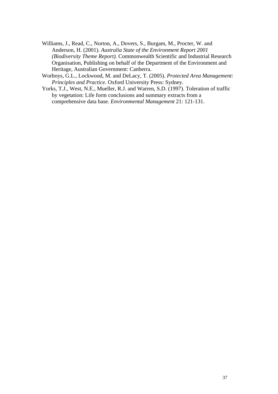- Williams, J., Read, C., Norton, A., Dovers, S., Burgam, M., Procter, W. and Anderson, H. (2001). *Australia State of the Environment Report 2001 (Biodiversity Theme Report).* Commonwealth Scientific and Industrial Research Organisation, Publishing on behalf of the Department of the Environment and Heritage, Australian Government: Canberra.
- Worboys, G.L., Lockwood, M. and DeLacy, T. (2005). *Protected Area Management: Principles and Practice.* Oxford University Press: Sydney.
- Yorks, T.J., West, N.E., Mueller, R.J. and Warren, S.D. (1997). Toleration of traffic by vegetation: Life form conclusions and summary extracts from a comprehensive data base. *Environmental Management* 21: 121-131.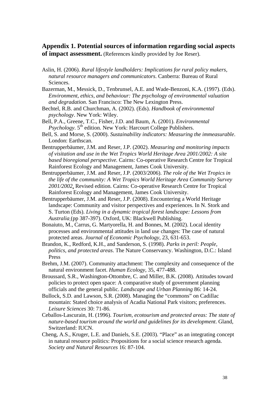# <span id="page-41-0"></span>**Appendix 1. Potential sources of information regarding social aspects of impact assessment.** (References kindly provided by Joe Reser).

- Aslin, H. (2006). *Rural lifestyle landholders: Implications for rural policy makers, natural resource managers and communicators*. Canberra: Bureau of Rural Sciences.
- Bazerman, M., Messick, D., Tenbrunsel, A.E. and Wade-Benzoni, K.A. (1997). (Eds). *Environment, ethics, and behaviour: The psychology of environmental valuation and degradation*. San Francisco: The New Lexington Press.
- Bechtel, R.B. and Churchman, A. (2002). (Eds). *Handbook of environmental psychology*. New York: Wiley.
- Bell, P.A., Greene, T.C., Fisher, J.D. and Baum, A. (2001). *Environmental Psychology*. 5<sup>th</sup> edition. New York: Harcourt College Publishers.
- Bell, S. and Morse, S. (2000). *Sustainability indicators: Measuring the immeasurable*. London: Earthscan.
- Bentrupperbäumer, J.M. and Reser, J.P. (2002). *Measuring and monitoring impacts of visitation and use in the Wet Tropics World Heritage Area 2001/2002: A site based bioregional perspective.* Cairns: Co-operative Research Centre for Tropical Rainforest Ecology and Management, James Cook University.
- Bentrupperbäumer, J.M. and Reser, J.P. (2003/2006). *The role of the Wet Tropics in the life of the community: A Wet Tropics World Heritage Area Community Survey 2001/2002*. Revised edition. Cairns: Co-operative Research Centre for Tropical Rainforest Ecology and Management, James Cook University.
- Bentrupperbäumer, J.M. and Reser, J.P. (2008). Encountering a World Heritage landscape: Community and visitor perspectives and experiences. In N. Stork and S. Turton (Eds). *Living in a dynamic tropical forest landscape: Lessons from Australia* (pp 387-397). Oxford, UK: Blackwell Publishing.
- Bonaiuto, M., Carrus, G. Martyorella, H. and Bonnes, M. (2002). Local identity processes and environmental attitudes in land use changes: The case of natural protected areas. *Journal of Economic Psychology*, 23, 631-653.
- Brandon, K., Redford, K.H., and Sanderson, S. (1998). *Parks in peril: People, politics, and protected areas*. The Nature Conservancy. Washington, D.C.: Island Press
- Brehm, J.M. (2007). Community attachment: The complexity and consequence of the natural environment facet. *Human Ecology*, 35, 477-488.
- Broussard, S.R., Washington-Ottombre, C. and Miller, B.K. (2008). Attitudes toward policies to protect open space: A comparative study of government planning officials and the general public. *Landscape and Urban Planning* 86: 14-24.
- Bullock, S.D. and Lawson, S.R. (2008). Managing the "commons" on Cadillac mountain: Stated choice analysis of Acadia National Park visitors; preferences. *Leisure Sciences* 30: 71-86.
- Ceballos-Lascurain, H. (1996). *Tourism, ecotourism and protected areas: The state of nature-based tourism around the world and guidelines for its development*. Gland, Switzerland: IUCN.
- Cheng, A.S., Kruger, L.E. and Daniels, S.E. (2003). "Place" as an integrating concept in natural resource politics: Propositions for a social science research agenda. *Society and Natural Resources* 16: 87-104.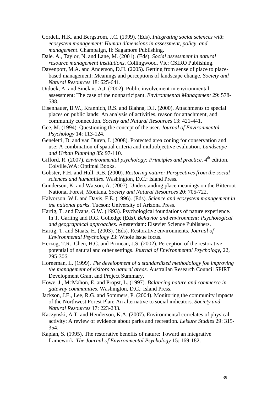- Cordell, H.K. and Bergstrom, J.C. (1999). (Eds). *Integrating social sciences with ecosystem management: Human dimensions in assessment, policy, and management*. Champaign, Il: Sagamore Publishing.
- Dale. A., Taylor, N. and Lane, M. (2001). (Eds). *Social assessment in natural resource management institutions*. Collingwood, Vic: CSIRO Publishing.
- Davenport, M.A. and Anderson, D.H. (2005). Getting from sense of place to placebased management: Meanings and perceptions of landscape change. *Society and Natural Resources* 18: 625-641.
- Diduck, A. and Sinclair, A.J. (2002). Public involvement in environmental assessment: The case of the nonparticipant. *Environmental Management* 29: 578- 588.
- Eisenhauer, B.W., Krannich, R.S. and Blahna, D.J. (2000). Attachments to special places on public lands: An analysis of activities, reason for attachment, and community connection. *Society and Natural Resources* 13: 421-441.
- Gee, M. (1994). Questioning the concept of the user. *Journal of Environmental Psychology* 14: 113-124.
- Geneletti, D. and van Duren, I. (2008). Protected area zoning for conservation and use: A combination of spatial criteria and multiobjective evaluation. *Landscape and Urban Planning* 85: 97-110.
- Gifford, R. (2007). *Environmental psychology: Principles and practice*. 4<sup>th</sup> edition. Colville,WA: Optimal Books.
- Gobster, P.H. and Hull, R.B. (2000). *Restoring nature: Perspectives from the social sciences and humanities*. Washington, D.C.: Island Press.
- Gunderson, K. and Watson, A. (2007). Understanding place meanings on the Bitteroot National Forest, Montana. *Society and Natural Resources* 20: 705-722.
- Halvorson, W.L.and Davis, F.E. (1996). (Eds). *Science and ecosystem management in the national parks*. Tucson: University of Arizona Press.
- Hartig, T. and Evans, G.W. (1993). Psychological foundations of nature experience. In T. Garling and R.G. Golledge (Eds*). Behavior and environment: Psychological and geographical approaches*. Amsterdam: Elsevier Science Publishers.
- Hartig, T. and Staats, H. (2003). (Eds). Restorative environments. *Journal of Environmental Psychology* 23: Whole issue focus.
- Herzog, T.R., Chen, H.C. and Primeau, J.S. (2002). Perception of the restorative potential of natural and other settings. *Journal of Environmental Psychology*, 22, 295-306.
- Horneman, L. (1999). *The development of a standardized methodology foe improving the management of visitors to natural areas*. Australian Research Council SPIRT Development Grant and Project Summary.
- Howe, J., McMahon, E. and Propst, L. (1997). *Balancing nature and commerce in gateway communities*. Washington, D.C.: Island Press.
- Jackson, J.E., Lee, R.G. and Sommers, P. (2004). Monitoring the community impacts of the Northwest Forest Plan: An alternative to social indicators. *Society and Natural Resources* 17: 223-233.
- Kaczynski, A.T. and Henderson, K.A. (2007). Environmental correlates of physical activity: A review of evidence about parks and recreation. *Leisure Studies* 29: 315- 354.
- Kaplan, S. (1995). The restorative benefits of nature: Toward an integrative framework. *The Journal of Environmental Psychology* 15: 169-182.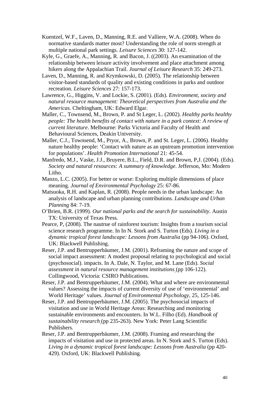- Kuentzel, W.F., Laven, D., Manning, R.E. and Valliere, W.A. (2008). When do normative standards matter most? Understanding the role of norm strength at multiple national park settings. *Leisure Sciences* 30: 127-142.
- Kyle, G., Graefe, A., Manning, R. and Bacon, J. ((2003). An examination of the relationship between leisure activity involvement and place attachment among hikers along the Appalachian Trail. *Journal of Leisure Research* 35: 249-273.
- Laven, D., Manning, R. and Krymkowski, D. (2005). The relationship between visitor-based standards of quality and existing conditions in parks and outdoor recreation. *Leisure Sciences* 27: 157-173.
- Lawrence, G., Higgins, V. and Lockie, S. (2001). (Eds). *Environment, society and natural resource management: Theoretical perspectives from Australia and the Americas*. Cheltingham, UK: Edward Elgar.
- Maller, C., Townsend, M., Brown, P. and St Leger, L. (2002). *Healthy parks healthy people: The health benefits of contact with nature in a park context: A review of current literature*. Melbourne: Parks Victoria and Faculty of Health and Behavioural Sciences, Deakin University.
- Maller, C.J., Townsend, M., Pryor, A., Brown, P. and St. Leger, L. (2006). Healthy nature healthy people: 'Contact with nature as an upstream promotion intervention for populations'. *Health Promotion International* 21: 45-54.
- Manfredo, M.J., Vaske, J.J., Bruyere, B.L., Field, D.R. and Brown, P,J. (2004). (Eds). *Society and natural resources: A summary of knowledge*. Jefferson, Mo: Modern Litho.
- Manzo, L.C. (2005). For better or worse: Exploring multiple dimensions of place meaning. *Journal of Environmental Psychology* 25: 67-86.
- Matsuoka, R.H. and Kaplan, R. (2008). People needs in the urban landscape: An analysis of landscape and urban planning contributions. *Landscape and Urban Planning* 84: 7-19.
- O'Brien, B.R. (1999). *Our national parks and the search for sustainability*. Austin TX: University of Texas Press.
- Pearce, P, (2008). The nautrue of rainforest tourism: Insights from a tourism social science research programme. In In N. Stork and S. Turton (Eds). *Living in a dynamic tropical forest landscape: Lessons from Australia* (pp 94-106). Oxford, UK: Blackwell Publishing.
- Reser, J.P. and Bentrupperbäumer, J.M. (2001). Reframing the nature and scope of social impact assessment: A modest proposal relating to psychological and social (psychosocial). impacts. In A. Dale, N. Taylor, and M. Lane (Eds). *Social assessment in natural resource management institutions* (pp 106-122). Collingwood, Victoria: CSIRO Publications.
- Reser, J.P. and Bentrupperbäumer, J.M. (2004). What and where are environmental values? Assessing the impacts of current diversity of use of 'environmental' and World Heritage' values. *Journal of Environmental Psychology*, 25, 125-146.
- Reser, J.P. and Bentrupperbäumer, J.M. (2005). The psychosocial impacts of visitation and use in World Heritage Areas: Researching and monitoring sustainable environments and encounters. In W.L. Filho (Ed). *Handbook of sustainability research* (pp 235-263)*.* New York: Peter Lang Scientific Publishers.
- Reser, J.P. and Bentrupperbäumer, J.M. (2008). Framing and researching the impacts of visitation and use in protected areas. In N. Stork and S. Turton (Eds). *Living in a dynamic tropical forest landscape: Lessons from Australia* (pp 420- 429). Oxford, UK: Blackwell Publishing.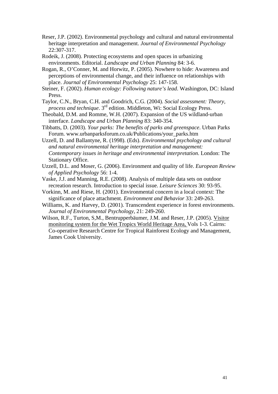- Reser, J.P. (2002). Environmental psychology and cultural and natural environmental heritage interpretation and management. *Journal of Environmental Psychology* 22:307-317.
- Rodeik, J. (2008). Protecting ecosystems and open spaces in urbanizing environments. Editorial. *Landscape and Urban Planning* 84: 3-6.
- Rogan, R., O'Conner, M. and Horwitz, P. (2005). Nowhere to hide: Awareness and perceptions of environmental change, and their influence on relationships with place. *Journal of Environmental Psychology* 25: 147-158.
- Steiner, F. (2002). *Human ecology: Following nature's lead*. Washington, DC: Island Press.
- Taylor, C.N., Bryan, C.H. and Goodrich, C.G. (2004). *Social assessment: Theory, process and technique*. 3<sup>rd</sup> edition. Middleton, Wi: Social Ecology Press.
- Theobald, D.M. and Romme, W.H. (2007). Expansion of the US wildland-urban interface. *Landscape and Urban Planning* 83: 340-354.
- Tibbatts, D. (2003). *Your parks: The benefits of parks and greenspace*. Urban Parks Forum. www.urbanparksforum.co.uk/Publications/your\_parks.htm
- Uzzell, D. and Ballantyne, R. (1998). (Eds). *Environmental psychology and cultural and natural environmental heritage interpretation and management: Contemporary issues in heritage and environmental interpretation*. London: The Stationary Office.
- Uzzell, D.L. and Moser, G. (2006). Environment and quality of life. *European Review of Applied Psychology* 56: 1-4.
- Vaske, J.J. and Manning, R.E. (2008). Analysis of multiple data sets on outdoor recreation research. Introduction to special issue. *Leisure Sciences* 30: 93-95.
- Vorkinn, M. and Riese, H. (2001). Environmental concern in a local context: The significance of place attachment. *Environment and Behavior* 33: 249-263.
- Williams, K. and Harvey, D. (2001). Transcendent experience in forest environments. *Journal of Environmental Psychology*, 21: 249-260.
- Wilson, R.F., Turton, S,M., Bentrupperbäumer, J.M. and Reser, J.P. (2005). Visitor monitoring system for the Wet Tropics World Heritage Area, Vols 1-3. Cairns: Co-operative Research Centre for Tropical Rainforest Ecology and Management, James Cook University.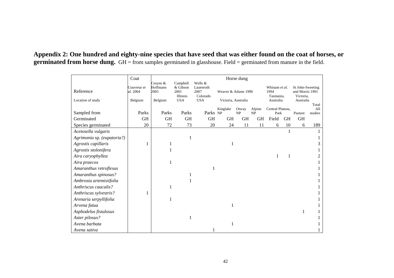**Appendix 2: One hundred and eighty-nine species that have seed that was either found on the coat of horses, or germinated from horse dung.** GH = from samples germinated in glasshouse. Field = germinated from manure in the field.

<span id="page-45-0"></span>

|                            | Coat                    | Horse dung                   |                                          |                                          |                       |                          |                           |                                    |           |                                                  |                         |
|----------------------------|-------------------------|------------------------------|------------------------------------------|------------------------------------------|-----------------------|--------------------------|---------------------------|------------------------------------|-----------|--------------------------------------------------|-------------------------|
| Reference                  | Couvreur et<br>al. 2004 | Cosyns &<br>Hoffmann<br>2005 | Campbell<br>& Gibson<br>2001<br>Illinois | Wells &<br>Lauenroth<br>2007<br>Colorado | Weaver & Adams 1996   |                          |                           | Whinam et al.<br>1994<br>Tasmania, |           | St John-Sweeting<br>and Morris 1991<br>Victoria, |                         |
| Location of study          | Belgium                 | Belgium                      | <b>USA</b>                               | <b>USA</b>                               | Victoria, Australia   |                          |                           | Australia                          |           | Australia                                        |                         |
| Sampled from<br>Germinated | Parks<br>GH             | Parks<br><b>GH</b>           | Parks<br><b>GH</b>                       | Parks NP<br><b>GH</b>                    | Kinglake<br><b>GH</b> | Otway<br>NP<br><b>GH</b> | Alpine<br>NP<br><b>GH</b> | Central Plateau,<br>Park<br>Field  | <b>GH</b> | Pasture<br><b>GH</b>                             | Total<br>All<br>studies |
| Species germinated         | 20                      | 72                           | 73                                       | 20                                       | 24                    | 11                       | 11                        | 6                                  | 10        | 6                                                | 189                     |
| Acetosella vulgaris        |                         |                              |                                          |                                          |                       |                          |                           |                                    |           |                                                  |                         |
| Agrimonia sp. (eupatoria?) |                         |                              |                                          |                                          |                       |                          |                           |                                    |           |                                                  |                         |
| Agrostis capillaris        |                         |                              |                                          |                                          |                       |                          |                           |                                    |           |                                                  | 3                       |
| Agrostis stolonifera       |                         |                              |                                          |                                          |                       |                          |                           |                                    |           |                                                  |                         |
| Aira caryophyllea          |                         |                              |                                          |                                          |                       |                          |                           |                                    |           |                                                  | 2                       |
| Aira praecox               |                         |                              |                                          |                                          |                       |                          |                           |                                    |           |                                                  |                         |
| Amaranthus retroflexus     |                         |                              |                                          | 1                                        |                       |                          |                           |                                    |           |                                                  |                         |
| Amaranthus spinosus?       |                         |                              |                                          |                                          |                       |                          |                           |                                    |           |                                                  |                         |
| Ambrosia artemisiifolia    |                         |                              |                                          |                                          |                       |                          |                           |                                    |           |                                                  |                         |
| Anthriscus caucalis?       |                         |                              |                                          |                                          |                       |                          |                           |                                    |           |                                                  |                         |
| Anthriscus sylvestris?     |                         |                              |                                          |                                          |                       |                          |                           |                                    |           |                                                  |                         |
| Arenaria serpyllifolia     |                         |                              |                                          |                                          |                       |                          |                           |                                    |           |                                                  |                         |
| Arvena fatua               |                         |                              |                                          |                                          |                       |                          |                           |                                    |           |                                                  |                         |
| Asphodelus fistulosus      |                         |                              |                                          |                                          |                       |                          |                           |                                    |           | 1                                                |                         |
| Aster pilosus?             |                         |                              |                                          |                                          |                       |                          |                           |                                    |           |                                                  |                         |
| Avena barbata              |                         |                              |                                          |                                          |                       |                          |                           |                                    |           |                                                  |                         |
| Avena sativa               |                         |                              |                                          |                                          |                       |                          |                           |                                    |           |                                                  |                         |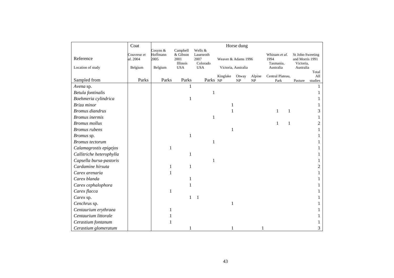|                          | Coat                    |                                |                                          |                                          |                     | Horse dung          |              |                                    |           |                                                  |  |
|--------------------------|-------------------------|--------------------------------|------------------------------------------|------------------------------------------|---------------------|---------------------|--------------|------------------------------------|-----------|--------------------------------------------------|--|
| Reference                | Couvreur et<br>al. 2004 | Cosyns $&$<br>Hoffmann<br>2005 | Campbell<br>& Gibson<br>2001<br>Illinois | Wells &<br>Lauenroth<br>2007<br>Colorado | Weaver & Adams 1996 |                     |              | Whinam et al.<br>1994<br>Tasmania, |           | St John-Sweeting<br>and Morris 1991<br>Victoria. |  |
| Location of study        | Belgium                 | Belgium                        | <b>USA</b>                               | <b>USA</b>                               |                     | Victoria, Australia |              | Australia                          | Australia | Total                                            |  |
| Sampled from             | Parks                   | Parks                          | Parks                                    | Parks NP                                 | Kinglake            | Otway<br>NP         | Alpine<br>NP | Central Plateau,<br>Park           | Pasture   | All<br>studies                                   |  |
| Avena sp.                |                         |                                |                                          |                                          |                     |                     |              |                                    |           |                                                  |  |
| Betula fontinalis        |                         |                                |                                          | 1                                        |                     |                     |              |                                    |           |                                                  |  |
| Boehmeria cylindrica     |                         |                                |                                          |                                          |                     |                     |              |                                    |           |                                                  |  |
| Briza minor              |                         |                                |                                          |                                          |                     |                     |              |                                    |           |                                                  |  |
| <b>Bromus</b> diandrus   |                         |                                |                                          |                                          |                     |                     |              |                                    |           | 3                                                |  |
| <b>Bromus</b> inermis    |                         |                                |                                          | 1                                        |                     |                     |              |                                    |           |                                                  |  |
| <b>Bromus</b> mollus     |                         |                                |                                          |                                          |                     |                     |              |                                    |           | 2                                                |  |
| <b>Bromus</b> rubens     |                         |                                |                                          |                                          |                     |                     |              |                                    |           |                                                  |  |
| Bromus sp.               |                         |                                |                                          |                                          |                     |                     |              |                                    |           |                                                  |  |
| <b>Bromus</b> tectorum   |                         |                                |                                          | 1                                        |                     |                     |              |                                    |           |                                                  |  |
| Calamagrostis epigejos   |                         |                                |                                          |                                          |                     |                     |              |                                    |           |                                                  |  |
| Callitriche heterophylla |                         |                                |                                          |                                          |                     |                     |              |                                    |           |                                                  |  |
| Capsella bursa-pastoris  |                         |                                |                                          | 1                                        |                     |                     |              |                                    |           |                                                  |  |
| Cardamine hirsuta        |                         |                                |                                          |                                          |                     |                     |              |                                    |           |                                                  |  |
| Carex arenaria           |                         |                                |                                          |                                          |                     |                     |              |                                    |           |                                                  |  |
| Carex blanda             |                         |                                |                                          |                                          |                     |                     |              |                                    |           |                                                  |  |
| Carex cephalophora       |                         |                                |                                          |                                          |                     |                     |              |                                    |           |                                                  |  |
| Carex flacca             |                         |                                |                                          |                                          |                     |                     |              |                                    |           |                                                  |  |
| Carex sp.                |                         |                                |                                          | $\overline{1}$                           |                     |                     |              |                                    |           |                                                  |  |
| Cenchrus sp.             |                         |                                |                                          |                                          |                     |                     |              |                                    |           |                                                  |  |
| Centaurium erythraea     |                         |                                |                                          |                                          |                     |                     |              |                                    |           |                                                  |  |
| Centaurium littorale     |                         |                                |                                          |                                          |                     |                     |              |                                    |           |                                                  |  |
| Cerastium fontanum       |                         |                                |                                          |                                          |                     |                     |              |                                    |           |                                                  |  |
| Cerastium glomeratum     |                         |                                |                                          |                                          |                     |                     |              |                                    |           | 3                                                |  |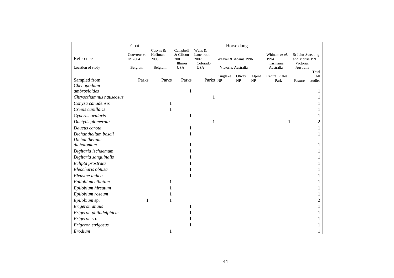|                         | Coat                    | Horse dung                     |                                          |                                          |                     |                                          |              |                                    |                                                  |                         |  |  |
|-------------------------|-------------------------|--------------------------------|------------------------------------------|------------------------------------------|---------------------|------------------------------------------|--------------|------------------------------------|--------------------------------------------------|-------------------------|--|--|
| Reference               | Couvreur et<br>al. 2004 | Cosyns $&$<br>Hoffmann<br>2005 | Campbell<br>& Gibson<br>2001<br>Illinois | Wells &<br>Lauenroth<br>2007<br>Colorado | Weaver & Adams 1996 |                                          |              | Whinam et al.<br>1994<br>Tasmania, | St John-Sweeting<br>and Morris 1991<br>Victoria, |                         |  |  |
| Location of study       | Belgium                 | Belgium                        | <b>USA</b><br><b>USA</b>                 |                                          |                     | Victoria, Australia                      |              | Australia                          | Australia                                        |                         |  |  |
| Sampled from            | Parks                   | Parks                          | Parks                                    | Parks NP                                 | Kinglake            | Otway<br>$\ensuremath{\text{NP}}\xspace$ | Alpine<br>NP | Central Plateau,<br>Park           | Pasture                                          | Total<br>All<br>studies |  |  |
| Chenopodium             |                         |                                |                                          |                                          |                     |                                          |              |                                    |                                                  |                         |  |  |
| ambrosioides            |                         |                                | 1                                        |                                          |                     |                                          |              |                                    |                                                  |                         |  |  |
| Chrysothamnus nauseosus |                         |                                |                                          | 1                                        |                     |                                          |              |                                    |                                                  |                         |  |  |
| Conyza canadensis       |                         | 1                              |                                          |                                          |                     |                                          |              |                                    |                                                  |                         |  |  |
| Crepis capillaris       |                         | 1                              |                                          |                                          |                     |                                          |              |                                    |                                                  |                         |  |  |
| Cyperus ovularis        |                         |                                | 1                                        |                                          |                     |                                          |              |                                    |                                                  |                         |  |  |
| Dactylis glomerata      |                         |                                |                                          | 1                                        |                     |                                          |              |                                    |                                                  | 2                       |  |  |
| Daucus carota           |                         |                                |                                          |                                          |                     |                                          |              |                                    |                                                  | 1                       |  |  |
| Dichanthelium boscii    |                         |                                |                                          |                                          |                     |                                          |              |                                    |                                                  | 1                       |  |  |
| Dichanthelium           |                         |                                |                                          |                                          |                     |                                          |              |                                    |                                                  |                         |  |  |
| dichotomum              |                         |                                |                                          |                                          |                     |                                          |              |                                    |                                                  | 1                       |  |  |
| Digitaria ischaemum     |                         |                                |                                          |                                          |                     |                                          |              |                                    |                                                  |                         |  |  |
| Digitaria sanguinalis   |                         |                                |                                          |                                          |                     |                                          |              |                                    |                                                  |                         |  |  |
| Eclipta prostrata       |                         |                                |                                          |                                          |                     |                                          |              |                                    |                                                  |                         |  |  |
| Eleocharis obtusa       |                         |                                |                                          |                                          |                     |                                          |              |                                    |                                                  | 1                       |  |  |
| Eleusine indica         |                         |                                |                                          |                                          |                     |                                          |              |                                    |                                                  | 1                       |  |  |
| Epilobium ciliatum      |                         | 1                              |                                          |                                          |                     |                                          |              |                                    |                                                  |                         |  |  |
| Epilobium hirsutum      |                         |                                |                                          |                                          |                     |                                          |              |                                    |                                                  |                         |  |  |
| Epilobium roseum        |                         |                                |                                          |                                          |                     |                                          |              |                                    |                                                  |                         |  |  |
| Epilobium sp.           |                         |                                |                                          |                                          |                     |                                          |              |                                    |                                                  | 2                       |  |  |
| Erigeron anuus          |                         |                                | 1                                        |                                          |                     |                                          |              |                                    |                                                  | 1                       |  |  |
| Erigeron philadelphicus |                         |                                |                                          |                                          |                     |                                          |              |                                    |                                                  |                         |  |  |
| Erigeron sp.            |                         |                                |                                          |                                          |                     |                                          |              |                                    |                                                  |                         |  |  |
| Erigeron strigosus      |                         |                                |                                          |                                          |                     |                                          |              |                                    |                                                  |                         |  |  |
| Erodium                 |                         |                                |                                          |                                          |                     |                                          |              |                                    |                                                  |                         |  |  |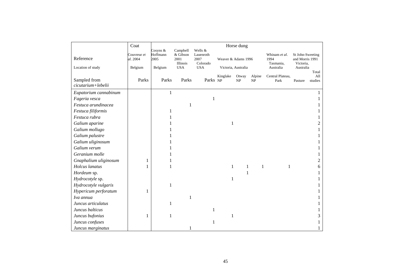|                       | Coat                    |                              | Horse dung<br>Wells &<br>Campbell |                               |                     |                     |              |                                    |                                                  |              |  |  |
|-----------------------|-------------------------|------------------------------|-----------------------------------|-------------------------------|---------------------|---------------------|--------------|------------------------------------|--------------------------------------------------|--------------|--|--|
| Reference             | Couvreur et<br>al. 2004 | Cosyns &<br>Hoffmann<br>2005 | & Gibson<br>2001<br>Illinois      | Lauenroth<br>2007<br>Colorado | Weaver & Adams 1996 |                     |              | Whinam et al.<br>1994<br>Tasmania, | St John-Sweeting<br>and Morris 1991<br>Victoria. |              |  |  |
| Location of study     | Belgium                 | Belgium                      | <b>USA</b>                        | <b>USA</b>                    |                     | Victoria, Australia |              | Australia                          | Australia                                        |              |  |  |
|                       |                         |                              |                                   |                               | Kinglake            | Otway               | Alpine       | Central Plateau,                   |                                                  | Total<br>All |  |  |
| Sampled from          | Parks                   | Parks                        | Parks                             | Parks NP                      |                     | NP                  | NP           | Park                               | Pasture                                          | studies      |  |  |
| cicutarium+lebelii    |                         |                              |                                   |                               |                     |                     |              |                                    |                                                  |              |  |  |
| Eupatorium cannabinum |                         | 1                            |                                   |                               |                     |                     |              |                                    |                                                  |              |  |  |
| Fageria vesca         |                         |                              |                                   | 1                             |                     |                     |              |                                    |                                                  |              |  |  |
| Festuca arundinacea   |                         |                              |                                   |                               |                     |                     |              |                                    |                                                  |              |  |  |
| Festuca filiformis    |                         |                              |                                   |                               |                     |                     |              |                                    |                                                  |              |  |  |
| Festuca rubra         |                         |                              |                                   |                               |                     |                     |              |                                    |                                                  |              |  |  |
| Galium aparine        |                         |                              |                                   |                               | 1                   |                     |              |                                    |                                                  |              |  |  |
| Galium mollugo        |                         |                              |                                   |                               |                     |                     |              |                                    |                                                  |              |  |  |
| Galium palustre       |                         |                              |                                   |                               |                     |                     |              |                                    |                                                  |              |  |  |
| Galium uliginosum     |                         |                              |                                   |                               |                     |                     |              |                                    |                                                  |              |  |  |
| Galium verum          |                         |                              |                                   |                               |                     |                     |              |                                    |                                                  |              |  |  |
| Geranium molle        |                         |                              |                                   |                               |                     |                     |              |                                    |                                                  |              |  |  |
| Gnaphalium uliginosum | 1                       |                              |                                   |                               |                     |                     |              |                                    |                                                  | 2            |  |  |
| Holcus lanatus        | 1                       |                              |                                   |                               | 1                   | 1                   | $\mathbf{1}$ | 1                                  |                                                  | 6            |  |  |
| Hordeum sp.           |                         |                              |                                   |                               |                     |                     |              |                                    |                                                  |              |  |  |
| Hydrocotyle sp.       |                         |                              |                                   |                               | 1                   |                     |              |                                    |                                                  |              |  |  |
| Hydrocotyle vulgaris  |                         |                              |                                   |                               |                     |                     |              |                                    |                                                  |              |  |  |
| Hypericum perforatum  |                         |                              |                                   |                               |                     |                     |              |                                    |                                                  |              |  |  |
| Iva annua             |                         |                              | $\mathbf{1}$                      |                               |                     |                     |              |                                    |                                                  |              |  |  |
| Juncus articulatus    |                         |                              |                                   |                               |                     |                     |              |                                    |                                                  |              |  |  |
| Juncus balticus       |                         |                              |                                   | 1                             |                     |                     |              |                                    |                                                  |              |  |  |
| Juncus bufonius       | 1                       |                              |                                   |                               | 1                   |                     |              |                                    |                                                  | 3            |  |  |
| Juncus confuses       |                         |                              |                                   | 1                             |                     |                     |              |                                    |                                                  |              |  |  |
| Juncus marginatus     |                         |                              |                                   |                               |                     |                     |              |                                    |                                                  |              |  |  |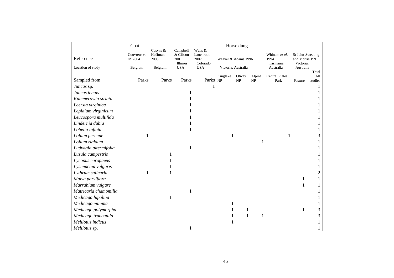|                       | Coat                    | Cosyns $&$       | Campbell                     | Wells &                       |                     | Horse dung          |              |                                    |                                                  |                         |
|-----------------------|-------------------------|------------------|------------------------------|-------------------------------|---------------------|---------------------|--------------|------------------------------------|--------------------------------------------------|-------------------------|
| Reference             | Couvreur et<br>al. 2004 | Hoffmann<br>2005 | & Gibson<br>2001<br>Illinois | Lauenroth<br>2007<br>Colorado | Weaver & Adams 1996 |                     |              | Whinam et al.<br>1994<br>Tasmania, | St John-Sweeting<br>and Morris 1991<br>Victoria. |                         |
| Location of study     | Belgium                 | Belgium          | <b>USA</b>                   | <b>USA</b>                    |                     | Victoria, Australia |              | Australia                          | Australia                                        |                         |
| Sampled from          | Parks                   | Parks            | Parks                        | Parks NP                      | Kinglake            | Otway<br>NP         | Alpine<br>NP | Central Plateau,<br>Park           | Pasture                                          | Total<br>All<br>studies |
| Juncus sp.            |                         |                  |                              |                               |                     |                     |              |                                    |                                                  |                         |
| Juncus tenuis         |                         |                  |                              |                               |                     |                     |              |                                    |                                                  |                         |
| Kummerowia striata    |                         |                  |                              |                               |                     |                     |              |                                    |                                                  |                         |
| Leersia virginica     |                         |                  |                              |                               |                     |                     |              |                                    |                                                  |                         |
| Lepidium virginicum   |                         |                  |                              |                               |                     |                     |              |                                    |                                                  |                         |
| Leucospora multifida  |                         |                  |                              |                               |                     |                     |              |                                    |                                                  |                         |
| Lindernia dubia       |                         |                  |                              |                               |                     |                     |              |                                    |                                                  |                         |
| Lobelia inflata       |                         |                  |                              |                               |                     |                     |              |                                    |                                                  |                         |
| Lolium perenne        |                         |                  |                              |                               |                     |                     |              |                                    |                                                  | 3                       |
| Lolium rigidum        |                         |                  |                              |                               |                     |                     |              |                                    |                                                  |                         |
| Ludwigia altermifolia |                         |                  |                              |                               |                     |                     |              |                                    |                                                  |                         |
| Luzula campestris     |                         |                  |                              |                               |                     |                     |              |                                    |                                                  |                         |
| Lycopus europaeus     |                         |                  |                              |                               |                     |                     |              |                                    |                                                  |                         |
| Lysimachia vulgaris   |                         |                  |                              |                               |                     |                     |              |                                    |                                                  |                         |
| Lythrum salicaria     |                         |                  |                              |                               |                     |                     |              |                                    |                                                  |                         |
| Malva parviflora      |                         |                  |                              |                               |                     |                     |              |                                    |                                                  |                         |
| Marrubium vulgare     |                         |                  |                              |                               |                     |                     |              |                                    |                                                  |                         |
| Matricaria chamomilla |                         |                  |                              |                               |                     |                     |              |                                    |                                                  |                         |
| Medicago lupulina     |                         | 1                |                              |                               |                     |                     |              |                                    |                                                  |                         |
| Medicago minima       |                         |                  |                              |                               |                     |                     |              |                                    |                                                  |                         |
| Medicago polymorpha   |                         |                  |                              |                               |                     | 1                   |              |                                    | 1                                                | 3                       |
| Medicago truncatula   |                         |                  |                              |                               |                     | $\mathbf{1}$        |              |                                    |                                                  | 3                       |
| Melilotus indicus     |                         |                  |                              |                               |                     |                     |              |                                    |                                                  |                         |
| Melilotus sp.         |                         |                  |                              |                               |                     |                     |              |                                    |                                                  |                         |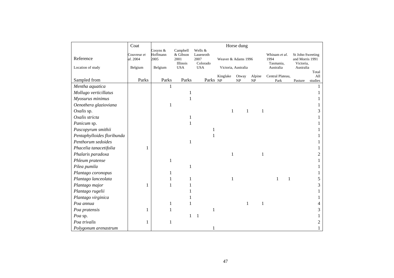|                            | Coat        |                        | Horse dung             |                        |                     |             |              |                          |                  |                |  |  |
|----------------------------|-------------|------------------------|------------------------|------------------------|---------------------|-------------|--------------|--------------------------|------------------|----------------|--|--|
|                            | Couvreur et | Cosyns $&$<br>Hoffmann | Campbell<br>& Gibson   | Wells &<br>Lauenroth   |                     |             |              | Whinam et al.            | St John-Sweeting |                |  |  |
| Reference                  | al. 2004    | 2005                   | 2001                   | 2007                   | Weaver & Adams 1996 |             |              | 1994                     | and Morris 1991  |                |  |  |
| Location of study          | Belgium     | Belgium                | Illinois<br><b>USA</b> | Colorado<br><b>USA</b> | Victoria, Australia |             |              | Tasmania,<br>Australia   | Victoria,        | Australia      |  |  |
|                            |             |                        |                        |                        |                     |             |              |                          |                  | Total          |  |  |
| Sampled from               | Parks       | Parks                  | Parks                  | Parks NP               | Kinglake            | Otway<br>NP | Alpine<br>NP | Central Plateau,<br>Park | Pasture          | All<br>studies |  |  |
| Mentha aquatica            |             | 1                      |                        |                        |                     |             |              |                          |                  |                |  |  |
| Mollugo verticillatus      |             |                        | 1                      |                        |                     |             |              |                          |                  |                |  |  |
| Myosurus minimus           |             |                        | 1                      |                        |                     |             |              |                          |                  |                |  |  |
| Oenothera glazioviana      |             | 1                      |                        |                        |                     |             |              |                          |                  |                |  |  |
| Oxalis sp.                 |             |                        |                        |                        | 1                   | 1           | 1            |                          |                  | 3              |  |  |
| Oxalis stricta             |             |                        | 1                      |                        |                     |             |              |                          |                  |                |  |  |
| Panicum sp.                |             |                        | 1                      |                        |                     |             |              |                          |                  |                |  |  |
| Pascopyrum smithii         |             |                        |                        | 1                      |                     |             |              |                          |                  |                |  |  |
| Pentaphylloides floribunda |             |                        |                        | 1                      |                     |             |              |                          |                  |                |  |  |
| Penthorum sedoides         |             |                        | $\mathbf{1}$           |                        |                     |             |              |                          |                  |                |  |  |
| Phacelia tanacetifolia     | 1           |                        |                        |                        |                     |             |              |                          |                  |                |  |  |
| Phalaris paradoxa          |             |                        |                        |                        | 1                   |             | 1            |                          |                  | 2              |  |  |
| Phleum pratense            |             | 1                      |                        |                        |                     |             |              |                          |                  |                |  |  |
| Pilea pumila               |             |                        | 1                      |                        |                     |             |              |                          |                  |                |  |  |
| Plantago coronopus         |             | 1                      |                        |                        |                     |             |              |                          |                  |                |  |  |
| Plantago lanceolata        |             | 1                      | 1                      |                        | 1                   |             |              | 1<br>1                   |                  | 5              |  |  |
| Plantago major             | 1           | 1                      | 1                      |                        |                     |             |              |                          |                  | 3              |  |  |
| Plantago rugelii           |             |                        |                        |                        |                     |             |              |                          |                  |                |  |  |
| Plantago virginica         |             |                        | 1                      |                        |                     |             |              |                          |                  |                |  |  |
| Poa annua                  |             | 1                      | 1                      |                        |                     | 1           | 1            |                          |                  | 4              |  |  |
| Poa pratensis              | 1           |                        |                        | 1                      |                     |             |              |                          |                  | 3              |  |  |
| Poa sp.                    |             |                        | 1                      | $\overline{1}$         |                     |             |              |                          |                  |                |  |  |
| Poa trivalis               | 1           | 1                      |                        |                        |                     |             |              |                          |                  | 2              |  |  |
| Polygonum arenastrum       |             |                        |                        | 1                      |                     |             |              |                          |                  |                |  |  |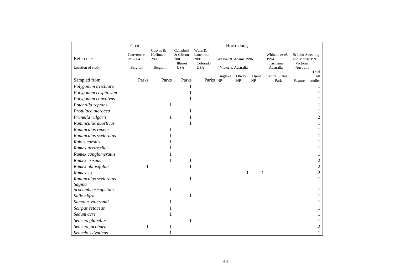|                                 | Coat<br>Couvreur et | Cosyns $&$<br>Hoffmann | Campbell<br>& Gibson | Wells &<br>Lauenroth |          | Horse dung          |              | Whinam et al.            | St John-Sweeting             |                |
|---------------------------------|---------------------|------------------------|----------------------|----------------------|----------|---------------------|--------------|--------------------------|------------------------------|----------------|
| Reference                       | al. 2004            | 2005                   | 2001<br>Illinois     | 2007<br>Colorado     |          | Weaver & Adams 1996 |              | 1994<br>Tasmania,        | and Morris 1991<br>Victoria. |                |
| Location of study               | Belgium             | Belgium                | <b>USA</b>           | <b>USA</b>           |          | Victoria, Australia |              | Australia                | Australia                    | Total          |
| Sampled from                    | Parks               | Parks                  | Parks                | Parks NP             | Kinglake | Otway<br>NP         | Alpine<br>NP | Central Plateau,<br>Park | Pasture                      | All<br>studies |
| Polygonum avicluare             |                     |                        |                      |                      |          |                     |              |                          |                              |                |
| Polygonum cespitosum            |                     |                        |                      |                      |          |                     |              |                          |                              |                |
| Polygonum convolvus             |                     |                        |                      |                      |          |                     |              |                          |                              |                |
| Potentilla reptans              |                     | 1                      |                      |                      |          |                     |              |                          |                              |                |
| Protulaca oleracea              |                     |                        |                      |                      |          |                     |              |                          |                              |                |
| Prunella vulgaris               |                     | 1                      |                      |                      |          |                     |              |                          |                              | $\overline{2}$ |
| Ranunculus abortivus            |                     |                        |                      |                      |          |                     |              |                          |                              |                |
| Ranunculus repens               |                     |                        |                      |                      |          |                     |              |                          |                              |                |
| Ranunculus sceleratus           |                     |                        |                      |                      |          |                     |              |                          |                              |                |
| Rubus caesius                   |                     |                        |                      |                      |          |                     |              |                          |                              |                |
| Rumex acetosella                |                     |                        |                      |                      |          |                     |              |                          |                              |                |
| Rumex conglomeratus             |                     |                        |                      |                      |          |                     |              |                          |                              |                |
| Rumex crispus                   |                     |                        |                      |                      |          |                     |              |                          |                              | 2              |
| Rumex obtusifolius              |                     |                        |                      |                      |          |                     |              |                          |                              | $\sqrt{2}$     |
| Rumex sp.                       |                     |                        |                      |                      |          | $\mathbf{1}$        | $\mathbf{1}$ |                          |                              | $\overline{2}$ |
| Rununculus sceleratus<br>Sagina |                     |                        |                      |                      |          |                     |              |                          |                              |                |
| procumbens+apetala              |                     |                        |                      |                      |          |                     |              |                          |                              | 1              |
| Salix nigra                     |                     |                        |                      |                      |          |                     |              |                          |                              |                |
| Samolus valerandi               |                     |                        |                      |                      |          |                     |              |                          |                              |                |
| Scirpus setaceus                |                     |                        |                      |                      |          |                     |              |                          |                              |                |
| Sedum acre                      |                     |                        |                      |                      |          |                     |              |                          |                              |                |
| Senecio glabellus               |                     |                        | 1                    |                      |          |                     |              |                          |                              |                |
| Senecio jacobaea                |                     |                        |                      |                      |          |                     |              |                          |                              | $\overline{c}$ |
| Senecio sylvaticus              |                     |                        |                      |                      |          |                     |              |                          |                              |                |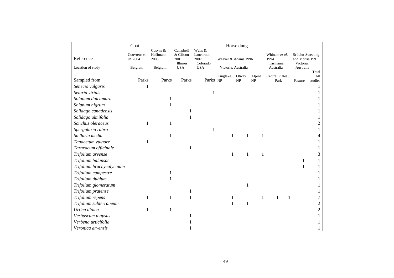|                           | Coat                    | Horse dung                     |                                          |                                          |                     |                     |              |                                    |                                                  |                         |  |  |
|---------------------------|-------------------------|--------------------------------|------------------------------------------|------------------------------------------|---------------------|---------------------|--------------|------------------------------------|--------------------------------------------------|-------------------------|--|--|
| Reference                 | Couvreur et<br>al. 2004 | Cosyns $&$<br>Hoffmann<br>2005 | Campbell<br>& Gibson<br>2001<br>Illinois | Wells &<br>Lauenroth<br>2007<br>Colorado | Weaver & Adams 1996 |                     |              | Whinam et al.<br>1994<br>Tasmania, | St John-Sweeting<br>and Morris 1991<br>Victoria, |                         |  |  |
| Location of study         | Belgium                 | Belgium                        | <b>USA</b>                               | <b>USA</b>                               |                     | Victoria, Australia |              | Australia                          | Australia                                        |                         |  |  |
| Sampled from              | Parks                   | Parks                          | Parks                                    | Parks NP                                 | Kinglake            | Otway<br>NP         | Alpine<br>NP | Central Plateau,<br>Park           | Pasture                                          | Total<br>All<br>studies |  |  |
| Senecio vulgaris          |                         |                                |                                          |                                          |                     |                     |              |                                    |                                                  | 1                       |  |  |
| Setaria viridis           |                         |                                |                                          | 1                                        |                     |                     |              |                                    |                                                  |                         |  |  |
| Solanum dulcamara         |                         |                                |                                          |                                          |                     |                     |              |                                    |                                                  |                         |  |  |
| Solanum nigrum            |                         |                                |                                          |                                          |                     |                     |              |                                    |                                                  |                         |  |  |
| Solidago canadensis       |                         |                                |                                          |                                          |                     |                     |              |                                    |                                                  |                         |  |  |
| Solidago ulmifolia        |                         |                                | 1                                        |                                          |                     |                     |              |                                    |                                                  |                         |  |  |
| Sonchus oleraceus         | 1                       | 1                              |                                          |                                          |                     |                     |              |                                    |                                                  | 2                       |  |  |
| Spergularia rubra         |                         |                                |                                          | 1                                        |                     |                     |              |                                    |                                                  | 1                       |  |  |
| Stellaria media           |                         | 1                              |                                          |                                          | 1                   |                     |              |                                    |                                                  | 4                       |  |  |
| Tanacetum vulgare         | 1                       |                                |                                          |                                          |                     |                     |              |                                    |                                                  |                         |  |  |
| Taraxacum officinale      |                         |                                | 1                                        |                                          |                     |                     |              |                                    |                                                  |                         |  |  |
| Trifolium arvense         |                         |                                |                                          |                                          | 1                   | 1                   | $\mathbf{1}$ |                                    |                                                  | 3                       |  |  |
| Trifolium balansae        |                         |                                |                                          |                                          |                     |                     |              |                                    | 1                                                |                         |  |  |
| Trifolium brachycalycinum |                         |                                |                                          |                                          |                     |                     |              |                                    | 1                                                |                         |  |  |
| Trifolium campestre       |                         |                                |                                          |                                          |                     |                     |              |                                    |                                                  |                         |  |  |
| Trifolium dubium          |                         |                                |                                          |                                          |                     |                     |              |                                    |                                                  |                         |  |  |
| Trifolium glomeratum      |                         |                                |                                          |                                          |                     | 1                   |              |                                    |                                                  |                         |  |  |
| Trifolium pratense        |                         |                                |                                          |                                          |                     |                     |              |                                    |                                                  |                         |  |  |
| Trifolium repens          | 1                       | 1                              | 1                                        |                                          |                     |                     |              |                                    |                                                  | 7                       |  |  |
| Trifolium subterraneum    |                         |                                |                                          |                                          |                     | $\mathbf{1}$        |              |                                    |                                                  | $\overline{c}$          |  |  |
| Urtica dioica             | 1                       | 1                              |                                          |                                          |                     |                     |              |                                    |                                                  | $\overline{2}$          |  |  |
| Verbascum thapsus         |                         |                                |                                          |                                          |                     |                     |              |                                    |                                                  | 1                       |  |  |
| Verbena urticifolia       |                         |                                |                                          |                                          |                     |                     |              |                                    |                                                  |                         |  |  |
| Veronica arvensis         |                         |                                |                                          |                                          |                     |                     |              |                                    |                                                  |                         |  |  |